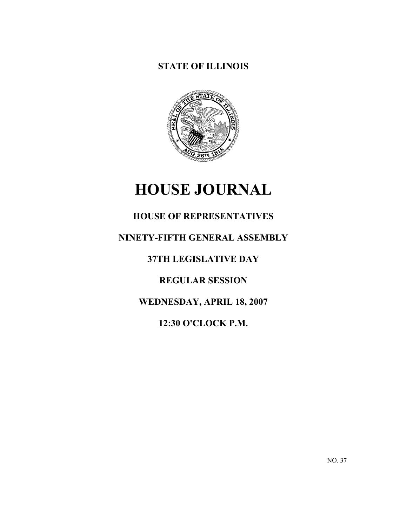# **STATE OF ILLINOIS**



# **HOUSE JOURNAL**

# **HOUSE OF REPRESENTATIVES**

# **NINETY-FIFTH GENERAL ASSEMBLY**

# **37TH LEGISLATIVE DAY**

# **REGULAR SESSION**

# **WEDNESDAY, APRIL 18, 2007**

# **12:30 O'CLOCK P.M.**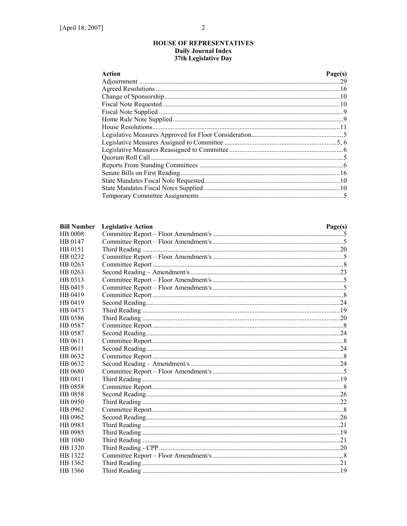# HOUSE OF REPRESENTATIVES Daily Journal Index<br>37th Legislative Day

| Action | Page(s) |
|--------|---------|
|        | 29      |
|        |         |
|        |         |
|        |         |
|        |         |
|        |         |
|        |         |
|        |         |
|        |         |
|        |         |
|        |         |
|        |         |
|        |         |
|        |         |
|        |         |
|        |         |

| <b>Bill Number</b> | <b>Legislative Action</b> | Page(s) |
|--------------------|---------------------------|---------|
| <b>HB 0008</b>     |                           |         |
| HB 0147            |                           |         |
| HB 0151            |                           |         |
| HB 0232            |                           |         |
| HB 0263            |                           |         |
| HB 0263            |                           |         |
| HB 0313            |                           |         |
| HB 0415            |                           |         |
| HB 0419            |                           |         |
| HB 0419            |                           |         |
| HB 0473            |                           |         |
| HB 0586            |                           |         |
| HB 0587            |                           |         |
| HB 0587            |                           |         |
| HB 0611            |                           |         |
| HB 0611            |                           |         |
| HB 0632            |                           |         |
| HB 0632            |                           |         |
| <b>HB</b> 0680     |                           |         |
| HB 0811            |                           |         |
| HB 0858            |                           |         |
| HB 0858            |                           |         |
| HB 0950            |                           |         |
| HB 0962            |                           |         |
| HB 0962            |                           |         |
| HB 0983            |                           |         |
| HB 0985            |                           |         |
| <b>HB</b> 1080     |                           |         |
| HB 1320            |                           |         |
| HB 1322            |                           |         |
| HB 1362            |                           |         |
| HB 1366            |                           |         |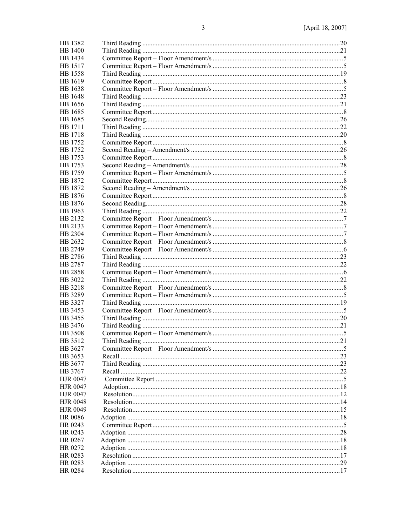| HB 1382         |     |
|-----------------|-----|
| HB 1400         |     |
| HB 1434         |     |
| HB 1517         |     |
| HB 1558         |     |
| HB 1619         |     |
| HB 1638         |     |
| HB 1648         |     |
| HB 1656         |     |
| HB 1685         |     |
| HB 1685         |     |
| HB 1711         |     |
| HB 1718         |     |
| HB 1752         |     |
| HB 1752         |     |
| HB 1753         |     |
| HB 1753         |     |
| HB 1759         |     |
| HB 1872         |     |
| HB 1872         |     |
| HB 1876         |     |
| HB 1876         |     |
| HB 1963         |     |
| HB 2132         |     |
| HB 2133         |     |
| HB 2304         |     |
| HB 2632         |     |
| HB 2749         |     |
| HB 2786         |     |
|                 |     |
| HB 2787         |     |
| HB 2858         |     |
| HB 3022         |     |
| HB 3218         |     |
| HB 3289         |     |
| HB 3327         |     |
| HB 3453         |     |
| HB 3455         |     |
| HB 3476         |     |
| HB 3508         |     |
| HB 3512         |     |
| HB 3627         |     |
| HB 3653         |     |
| HB 3677         |     |
| HB 3767         |     |
| <b>HJR 0047</b> |     |
| <b>HJR 0047</b> |     |
| <b>HJR 0047</b> |     |
| <b>HJR 0048</b> |     |
| <b>HJR 0049</b> |     |
| HR 0086         |     |
| HR 0243         |     |
| HR 0243         |     |
| HR 0267         |     |
| HR 0272         |     |
| HR 0283         |     |
| HR 0283         | .29 |
| HR 0284         |     |
|                 |     |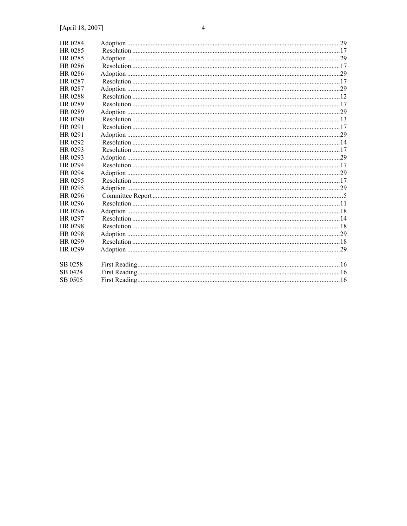| HR 0284 |  |
|---------|--|
| HR 0285 |  |
| HR 0285 |  |
| HR 0286 |  |
| HR 0286 |  |
| HR 0287 |  |
| HR 0287 |  |
| HR 0288 |  |
| HR 0289 |  |
| HR 0289 |  |
| HR 0290 |  |
| HR 0291 |  |
| HR 0291 |  |
| HR 0292 |  |
| HR 0293 |  |
| HR 0293 |  |
| HR 0294 |  |
| HR 0294 |  |
| HR 0295 |  |
| HR 0295 |  |
| HR 0296 |  |
| HR 0296 |  |
| HR 0296 |  |
| HR 0297 |  |
| HR 0298 |  |
| HR 0298 |  |
| HR 0299 |  |
| HR 0299 |  |
|         |  |
| SB 0258 |  |
| SB 0424 |  |
| SB 0505 |  |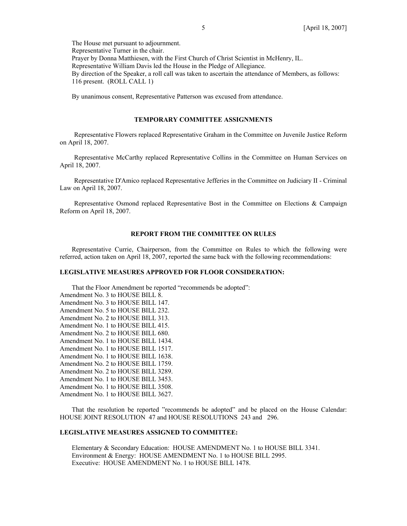The House met pursuant to adjournment. Representative Turner in the chair. Prayer by Donna Matthiesen, with the First Church of Christ Scientist in McHenry, IL. Representative William Davis led the House in the Pledge of Allegiance. By direction of the Speaker, a roll call was taken to ascertain the attendance of Members, as follows: 116 present. (ROLL CALL 1)

By unanimous consent, Representative Patterson was excused from attendance.

#### **TEMPORARY COMMITTEE ASSIGNMENTS**

Representative Flowers replaced Representative Graham in the Committee on Juvenile Justice Reform on April 18, 2007.

Representative McCarthy replaced Representative Collins in the Committee on Human Services on April 18, 2007.

Representative D'Amico replaced Representative Jefferies in the Committee on Judiciary II - Criminal Law on April 18, 2007.

Representative Osmond replaced Representative Bost in the Committee on Elections & Campaign Reform on April 18, 2007.

# **REPORT FROM THE COMMITTEE ON RULES**

 Representative Currie, Chairperson, from the Committee on Rules to which the following were referred, action taken on April 18, 2007, reported the same back with the following recommendations:

### **LEGISLATIVE MEASURES APPROVED FOR FLOOR CONSIDERATION:**

 That the Floor Amendment be reported "recommends be adopted": Amendment No. 3 to HOUSE BILL 8. Amendment No. 3 to HOUSE BILL 147. Amendment No. 5 to HOUSE BILL 232. Amendment No. 2 to HOUSE BILL 313. Amendment No. 1 to HOUSE BILL 415. Amendment No. 2 to HOUSE BILL 680. Amendment No. 1 to HOUSE BILL 1434. Amendment No. 1 to HOUSE BILL 1517. Amendment No. 1 to HOUSE BILL 1638. Amendment No. 2 to HOUSE BILL 1759. Amendment No. 2 to HOUSE BILL 3289. Amendment No. 1 to HOUSE BILL 3453. Amendment No. 1 to HOUSE BILL 3508. Amendment No. 1 to HOUSE BILL 3627.

 That the resolution be reported "recommends be adopted" and be placed on the House Calendar: HOUSE JOINT RESOLUTION 47 and HOUSE RESOLUTIONS 243 and 296.

#### **LEGISLATIVE MEASURES ASSIGNED TO COMMITTEE:**

Elementary & Secondary Education: HOUSE AMENDMENT No. 1 to HOUSE BILL 3341. Environment & Energy: HOUSE AMENDMENT No. 1 to HOUSE BILL 2995. Executive: HOUSE AMENDMENT No. 1 to HOUSE BILL 1478.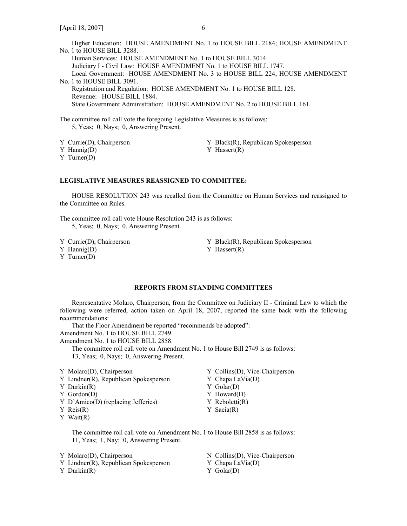Higher Education: HOUSE AMENDMENT No. 1 to HOUSE BILL 2184; HOUSE AMENDMENT No. 1 to HOUSE BILL 3288. Human Services: HOUSE AMENDMENT No. 1 to HOUSE BILL 3014. Judiciary I - Civil Law: HOUSE AMENDMENT No. 1 to HOUSE BILL 1747. Local Government: HOUSE AMENDMENT No. 3 to HOUSE BILL 224; HOUSE AMENDMENT No. 1 to HOUSE BILL 3091. Registration and Regulation: HOUSE AMENDMENT No. 1 to HOUSE BILL 128. Revenue: HOUSE BILL 1884. State Government Administration: HOUSE AMENDMENT No. 2 to HOUSE BILL 161. The committee roll call vote the foregoing Legislative Measures is as follows: 5, Yeas; 0, Nays; 0, Answering Present.

Y Currie(D), Chairperson Y Black(R), Republican Spokesperson Y Hannig(D) Y Hassert(R)

Y Turner(D)

#### **LEGISLATIVE MEASURES REASSIGNED TO COMMITTEE:**

 HOUSE RESOLUTION 243 was recalled from the Committee on Human Services and reassigned to the Committee on Rules.

The committee roll call vote House Resolution 243 is as follows: 5, Yeas; 0, Nays; 0, Answering Present.

Y Turner(D)

Y Currie(D), Chairperson Y Black(R), Republican Spokesperson

Y Hannig(D) Y Hassert(R)

### **REPORTS FROM STANDING COMMITTEES**

 Representative Molaro, Chairperson, from the Committee on Judiciary II - Criminal Law to which the following were referred, action taken on April 18, 2007, reported the same back with the following recommendations:

That the Floor Amendment be reported "recommends be adopted":

Amendment No. 1 to HOUSE BILL 2749.

Amendment No. 1 to HOUSE BILL 2858.

The committee roll call vote on Amendment No. 1 to House Bill 2749 is as follows:

13, Yeas; 0, Nays; 0, Answering Present.

|  |  |  |  | Y Molaro(D), Chairperson |
|--|--|--|--|--------------------------|
|--|--|--|--|--------------------------|

- Y Lindner(R), Republican Spokesperson Y Chapa LaVia(D)
- 
- 
- Y D'Amico(D) (replacing Jefferies) Y Reboletti(R)
- Y Reis(R) Y Sacia(R)
- Y Wait(R)
- Y Collins(D), Vice-Chairperson
- 
- Y Durkin(R) Y Golar(D)
- Y Gordon(D) Y Howard(D)
	-
	-
	- The committee roll call vote on Amendment No. 1 to House Bill 2858 is as follows: 11, Yeas; 1, Nay; 0, Answering Present.
- Y Molaro(D), Chairperson N Collins(D), Vice-Chairperson
- Y Lindner(R), Republican Spokesperson Y Chapa LaVia(D)

Y Durkin(R) Y Golar(D)

- 
-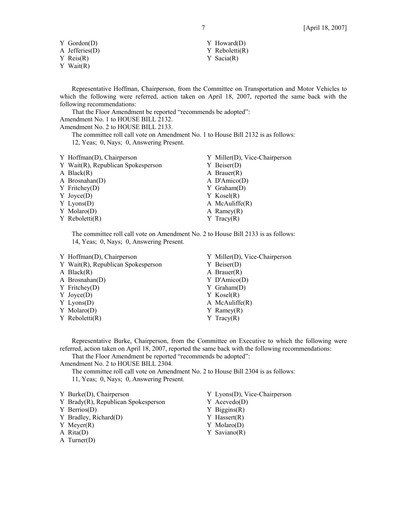- 
- 
- Y Reis(R) Y Sacia(R)
- Y Wait(R)
- Y Gordon(D) Y Howard(D) A Jefferies(D) Y Reboletti(R)
- Representative Hoffman, Chairperson, from the Committee on Transportation and Motor Vehicles to which the following were referred, action taken on April 18, 2007, reported the same back with the following recommendations:

 That the Floor Amendment be reported "recommends be adopted": Amendment No. 1 to HOUSE BILL 2132.

Amendment No. 2 to HOUSE BILL 2133.

 The committee roll call vote on Amendment No. 1 to House Bill 2132 is as follows: 12, Yeas; 0, Nays; 0, Answering Present.

| Y Hoffman(D), Chairperson          | Y Miller(D), Vice-Chairperson |
|------------------------------------|-------------------------------|
| Y Wait(R), Republican Spokesperson | $Y$ Beiser(D)                 |
| A Black $(R)$                      | A Brauer $(R)$                |
| A Brosnahan(D)                     | A $D'Amico(D)$                |
| $Y$ Fritchey(D)                    | $Y$ Graham $(D)$              |
| $Y$ Joyce $(D)$                    | $Y$ Kosel $(R)$               |
| $Y$ Lyons(D)                       | A McAuliffe $(R)$             |
| $Y$ Molaro $(D)$                   | A Ramey $(R)$                 |
| $Y$ Reboletti $(R)$                | $Y$ Tracy $(R)$               |

 The committee roll call vote on Amendment No. 2 to House Bill 2133 is as follows: 14, Yeas; 0, Nays; 0, Answering Present.

| Y Hoffman(D), Chairperson          | Y Miller(D), Vice-Chairperson |
|------------------------------------|-------------------------------|
| Y Wait(R), Republican Spokesperson | $Y$ Beiser(D)                 |
| $A \text{ Black}(R)$               | A Brauer $(R)$                |
| A Brosnahan $(D)$                  | $Y$ D'Amico(D)                |
| $Y$ Fritchey(D)                    | $Y$ Graham $(D)$              |
| $Y$ Joyce $(D)$                    | $Y$ Kosel $(R)$               |
| $Y$ Lyons(D)                       | A McAuliffe $(R)$             |
| $Y$ Molaro(D)                      | $Y$ Ramey $(R)$               |
| $Y$ Reboletti $(R)$                | $Y$ Tracy $(R)$               |

 Representative Burke, Chairperson, from the Committee on Executive to which the following were referred, action taken on April 18, 2007, reported the same back with the following recommendations:

That the Floor Amendment be reported "recommends be adopted":

Amendment No. 2 to HOUSE BILL 2304.

 The committee roll call vote on Amendment No. 2 to House Bill 2304 is as follows: 11, Yeas; 0, Nays; 0, Answering Present.

| Y Burke(D), Chairperson |  |  |  |  |  |
|-------------------------|--|--|--|--|--|
|-------------------------|--|--|--|--|--|

|  |  |  | Y Brady(R), Republican Spokesperso |
|--|--|--|------------------------------------|
|--|--|--|------------------------------------|

- 
- Y Bradley, Richard(D) Y Hassert(R)
- Y Meyer(R) Y Molaro(D)
- 
- A Turner(D)
- n Y Lyons(D), Vice-Chairperson
	- $Y$  Acevedo(D)
- Y Berrios(D) Y Biggins(R)
	-
	-
- A Rita(D) Y Saviano(R)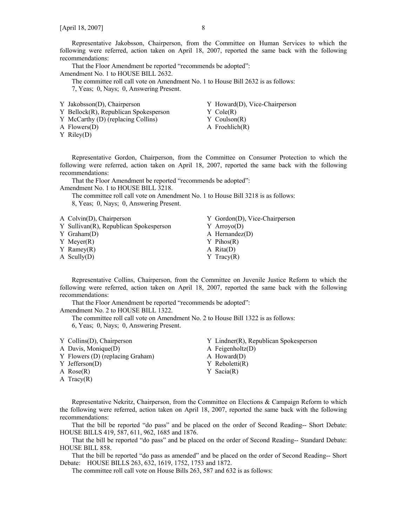Representative Jakobsson, Chairperson, from the Committee on Human Services to which the following were referred, action taken on April 18, 2007, reported the same back with the following recommendations:

 That the Floor Amendment be reported "recommends be adopted": Amendment No. 1 to HOUSE BILL 2632.

 The committee roll call vote on Amendment No. 1 to House Bill 2632 is as follows: 7, Yeas; 0, Nays; 0, Answering Present.

| Y Jakobsson(D), Chairperson           | Y Howard(D), Vice-Chairperson |
|---------------------------------------|-------------------------------|
| Y Bellock(R), Republican Spokesperson | $Y$ Cole $(R)$                |
| Y McCarthy (D) (replacing Collins)    | $Y$ Coulson $(R)$             |
| A Flowers(D)                          | A Froehlich $(R)$             |
| $Y$ Riley(D)                          |                               |

 Representative Gordon, Chairperson, from the Committee on Consumer Protection to which the following were referred, action taken on April 18, 2007, reported the same back with the following recommendations:

 That the Floor Amendment be reported "recommends be adopted": Amendment No. 1 to HOUSE BILL 3218.

 The committee roll call vote on Amendment No. 1 to House Bill 3218 is as follows: 8, Yeas; 0, Nays; 0, Answering Present.

| A Colvin(D), Chairperson               | Y Gordon(D), Vice-Chairperson |
|----------------------------------------|-------------------------------|
| Y Sullivan(R), Republican Spokesperson | $Y$ Arrovo(D)                 |
| $Y$ Graham $(D)$                       | A Hernandez $(D)$             |
| Y Meyer $(R)$                          | $Y$ Pihos $(R)$               |
| $Y$ Ramey $(R)$                        | A $Rita(D)$                   |
| A Scully $(D)$                         | $Y$ Tracy $(R)$               |
|                                        |                               |

 Representative Collins, Chairperson, from the Committee on Juvenile Justice Reform to which the following were referred, action taken on April 18, 2007, reported the same back with the following recommendations:

That the Floor Amendment be reported "recommends be adopted":

Amendment No. 2 to HOUSE BILL 1322.

 The committee roll call vote on Amendment No. 2 to House Bill 1322 is as follows: 6, Yeas; 0, Nays; 0, Answering Present.

| Y Collins(D), Chairperson        | Y Lindner(R), Republican Spokesperson |
|----------------------------------|---------------------------------------|
| A Davis, Monique(D)              | A Feigenholtz $(D)$                   |
| Y Flowers (D) (replacing Graham) | A Howard $(D)$                        |
| $Y \text{ Jefferson}(D)$         | $Y$ Reboletti $(R)$                   |
| A Rose $(R)$                     | $Y$ Sacia $(R)$                       |
| A Tracy $(R)$                    |                                       |

 Representative Nekritz, Chairperson, from the Committee on Elections & Campaign Reform to which the following were referred, action taken on April 18, 2007, reported the same back with the following recommendations:

 That the bill be reported "do pass" and be placed on the order of Second Reading-- Short Debate: HOUSE BILLS 419, 587, 611, 962, 1685 and 1876.

 That the bill be reported "do pass" and be placed on the order of Second Reading-- Standard Debate: HOUSE BILL 858.

 That the bill be reported "do pass as amended" and be placed on the order of Second Reading-- Short Debate: HOUSE BILLS 263, 632, 1619, 1752, 1753 and 1872.

The committee roll call vote on House Bills 263, 587 and 632 is as follows: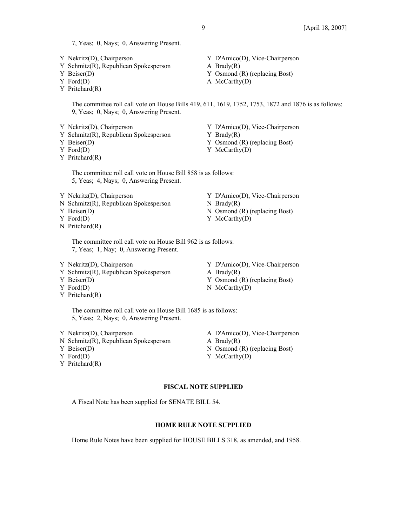7, Yeas; 0, Nays; 0, Answering Present.

- 
- Y Schmitz(R), Republican Spokesperson A Brady(R)
- 
- 
- Y Pritchard(R)
- Y Nekritz(D), Chairperson Y D'Amico(D), Vice-Chairperson
	-
- Y Beiser(D) Y Osmond (R) (replacing Bost)
- Y Ford(D) A McCarthy(D)

 The committee roll call vote on House Bills 419, 611, 1619, 1752, 1753, 1872 and 1876 is as follows: 9, Yeas; 0, Nays; 0, Answering Present.

- Y Nekritz(D), Chairperson Y D'Amico(D), Vice-Chairperson
- Y Schmitz(R), Republican Spokesperson Y Brady(R)
- Y Beiser(D) Y Osmond (R) (replacing Bost)
- 
- Y Pritchard(R)

- 
- Y Ford(D) Y McCarthy(D)

The committee roll call vote on House Bill 858 is as follows: 5, Yeas; 4, Nays; 0, Answering Present.

- Y Nekritz(D), Chairperson Y D'Amico(D), Vice-Chairperson
- N Schmitz $(R)$ , Republican Spokesperson N Brady $(R)$
- Y Beiser(D) N Osmond (R) (replacing Bost)
- Y Ford(D) Y McCarthy(D)
- N Pritchard(R)

 The committee roll call vote on House Bill 962 is as follows: 7, Yeas; 1, Nay; 0, Answering Present.

- 
- Y Schmitz(R), Republican Spokesperson A Brady(R)
- 
- 
- Y Pritchard(R)

Y Nekritz(D), Chairperson Y D'Amico(D), Vice-Chairperson

- Y Beiser(D) Y Osmond (R) (replacing Bost)
- Y Ford(D) N McCarthy(D)

 The committee roll call vote on House Bill 1685 is as follows: 5, Yeas; 2, Nays; 0, Answering Present.

- N Schmitz(R), Republican Spokesperson A Brady(R)
- 
- 
- Y Pritchard(R)
- Y Nekritz(D), Chairperson A D'Amico(D), Vice-Chairperson
	-
- Y Beiser(D) N Osmond (R) (replacing Bost)
- Y Ford(D) Y McCarthy(D)

# **FISCAL NOTE SUPPLIED**

A Fiscal Note has been supplied for SENATE BILL 54.

# **HOME RULE NOTE SUPPLIED**

Home Rule Notes have been supplied for HOUSE BILLS 318, as amended, and 1958.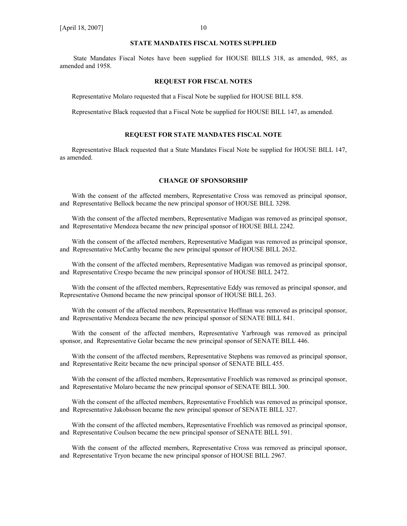### **STATE MANDATES FISCAL NOTES SUPPLIED**

 State Mandates Fiscal Notes have been supplied for HOUSE BILLS 318, as amended, 985, as amended and 1958.

#### **REQUEST FOR FISCAL NOTES**

Representative Molaro requested that a Fiscal Note be supplied for HOUSE BILL 858.

Representative Black requested that a Fiscal Note be supplied for HOUSE BILL 147, as amended.

#### **REQUEST FOR STATE MANDATES FISCAL NOTE**

 Representative Black requested that a State Mandates Fiscal Note be supplied for HOUSE BILL 147, as amended.

#### **CHANGE OF SPONSORSHIP**

 With the consent of the affected members, Representative Cross was removed as principal sponsor, and Representative Bellock became the new principal sponsor of HOUSE BILL 3298.

 With the consent of the affected members, Representative Madigan was removed as principal sponsor, and Representative Mendoza became the new principal sponsor of HOUSE BILL 2242.

 With the consent of the affected members, Representative Madigan was removed as principal sponsor, and Representative McCarthy became the new principal sponsor of HOUSE BILL 2632.

 With the consent of the affected members, Representative Madigan was removed as principal sponsor, and Representative Crespo became the new principal sponsor of HOUSE BILL 2472.

 With the consent of the affected members, Representative Eddy was removed as principal sponsor, and Representative Osmond became the new principal sponsor of HOUSE BILL 263.

 With the consent of the affected members, Representative Hoffman was removed as principal sponsor, and Representative Mendoza became the new principal sponsor of SENATE BILL 841.

 With the consent of the affected members, Representative Yarbrough was removed as principal sponsor, and Representative Golar became the new principal sponsor of SENATE BILL 446.

 With the consent of the affected members, Representative Stephens was removed as principal sponsor, and Representative Reitz became the new principal sponsor of SENATE BILL 455.

 With the consent of the affected members, Representative Froehlich was removed as principal sponsor, and Representative Molaro became the new principal sponsor of SENATE BILL 300.

 With the consent of the affected members, Representative Froehlich was removed as principal sponsor, and Representative Jakobsson became the new principal sponsor of SENATE BILL 327.

 With the consent of the affected members, Representative Froehlich was removed as principal sponsor, and Representative Coulson became the new principal sponsor of SENATE BILL 591.

 With the consent of the affected members, Representative Cross was removed as principal sponsor, and Representative Tryon became the new principal sponsor of HOUSE BILL 2967.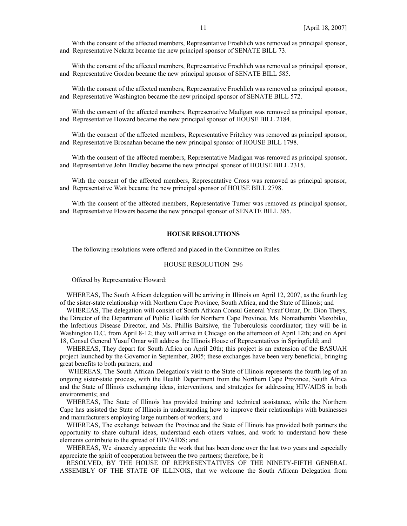With the consent of the affected members, Representative Froehlich was removed as principal sponsor, and Representative Nekritz became the new principal sponsor of SENATE BILL 73.

 With the consent of the affected members, Representative Froehlich was removed as principal sponsor, and Representative Gordon became the new principal sponsor of SENATE BILL 585.

 With the consent of the affected members, Representative Froehlich was removed as principal sponsor, and Representative Washington became the new principal sponsor of SENATE BILL 572.

 With the consent of the affected members, Representative Madigan was removed as principal sponsor, and Representative Howard became the new principal sponsor of HOUSE BILL 2184.

 With the consent of the affected members, Representative Fritchey was removed as principal sponsor, and Representative Brosnahan became the new principal sponsor of HOUSE BILL 1798.

 With the consent of the affected members, Representative Madigan was removed as principal sponsor, and Representative John Bradley became the new principal sponsor of HOUSE BILL 2315.

 With the consent of the affected members, Representative Cross was removed as principal sponsor, and Representative Wait became the new principal sponsor of HOUSE BILL 2798.

 With the consent of the affected members, Representative Turner was removed as principal sponsor, and Representative Flowers became the new principal sponsor of SENATE BILL 385.

### **HOUSE RESOLUTIONS**

The following resolutions were offered and placed in the Committee on Rules.

#### HOUSE RESOLUTION 296

Offered by Representative Howard:

 WHEREAS, The South African delegation will be arriving in Illinois on April 12, 2007, as the fourth leg of the sister-state relationship with Northern Cape Province, South Africa, and the State of Illinois; and

 WHEREAS, The delegation will consist of South African Consul General Yusuf Omar, Dr. Dion Theys, the Director of the Department of Public Health for Northern Cape Province, Ms. Nomathembi Mazobiko, the Infectious Disease Director, and Ms. Phillis Baitsiwe, the Tuberculosis coordinator; they will be in Washington D.C. from April 8-12; they will arrive in Chicago on the afternoon of April 12th; and on April 18, Consul General Yusuf Omar will address the Illinois House of Representatives in Springfield; and

 WHEREAS, They depart for South Africa on April 20th; this project is an extension of the BASUAH project launched by the Governor in September, 2005; these exchanges have been very beneficial, bringing great benefits to both partners; and

 WHEREAS, The South African Delegation's visit to the State of Illinois represents the fourth leg of an ongoing sister-state process, with the Health Department from the Northern Cape Province, South Africa and the State of Illinois exchanging ideas, interventions, and strategies for addressing HIV/AIDS in both environments; and

 WHEREAS, The State of Illinois has provided training and technical assistance, while the Northern Cape has assisted the State of Illinois in understanding how to improve their relationships with businesses and manufacturers employing large numbers of workers; and

 WHEREAS, The exchange between the Province and the State of Illinois has provided both partners the opportunity to share cultural ideas, understand each others values, and work to understand how these elements contribute to the spread of HIV/AIDS; and

 WHEREAS, We sincerely appreciate the work that has been done over the last two years and especially appreciate the spirit of cooperation between the two partners; therefore, be it

 RESOLVED, BY THE HOUSE OF REPRESENTATIVES OF THE NINETY-FIFTH GENERAL ASSEMBLY OF THE STATE OF ILLINOIS, that we welcome the South African Delegation from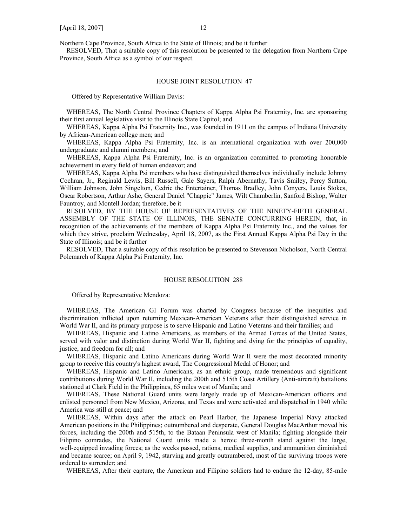Northern Cape Province, South Africa to the State of Illinois; and be it further

 RESOLVED, That a suitable copy of this resolution be presented to the delegation from Northern Cape Province, South Africa as a symbol of our respect.

#### HOUSE JOINT RESOLUTION 47

Offered by Representative William Davis:

 WHEREAS, The North Central Province Chapters of Kappa Alpha Psi Fraternity, Inc. are sponsoring their first annual legislative visit to the Illinois State Capitol; and

 WHEREAS, Kappa Alpha Psi Fraternity Inc., was founded in 1911 on the campus of Indiana University by African-American college men; and

 WHEREAS, Kappa Alpha Psi Fraternity, Inc. is an international organization with over 200,000 undergraduate and alumni members; and

 WHEREAS, Kappa Alpha Psi Fraternity, Inc. is an organization committed to promoting honorable achievement in every field of human endeavor; and

 WHEREAS, Kappa Alpha Psi members who have distinguished themselves individually include Johnny Cochran, Jr., Reginald Lewis, Bill Russell, Gale Sayers, Ralph Abernathy, Tavis Smiley, Percy Sutton, William Johnson, John Singelton, Cedric the Entertainer, Thomas Bradley, John Conyers, Louis Stokes, Oscar Robertson, Arthur Ashe, General Daniel "Chappie" James, Wilt Chamberlin, Sanford Bishop, Walter Fauntroy, and Montell Jordan; therefore, be it

 RESOLVED, BY THE HOUSE OF REPRESENTATIVES OF THE NINETY-FIFTH GENERAL ASSEMBLY OF THE STATE OF ILLINOIS, THE SENATE CONCURRING HEREIN, that, in recognition of the achievements of the members of Kappa Alpha Psi Fraternity Inc., and the values for which they strive, proclaim Wednesday, April 18, 2007, as the First Annual Kappa Alpha Psi Day in the State of Illinois; and be it further

 RESOLVED, That a suitable copy of this resolution be presented to Stevenson Nicholson, North Central Polemarch of Kappa Alpha Psi Fraternity, Inc.

#### HOUSE RESOLUTION 288

Offered by Representative Mendoza:

 WHEREAS, The American GI Forum was charted by Congress because of the inequities and discrimination inflicted upon returning Mexican-American Veterans after their distinguished service in World War II, and its primary purpose is to serve Hispanic and Latino Veterans and their families; and

 WHEREAS, Hispanic and Latino Americans, as members of the Armed Forces of the United States, served with valor and distinction during World War II, fighting and dying for the principles of equality, justice, and freedom for all; and

 WHEREAS, Hispanic and Latino Americans during World War II were the most decorated minority group to receive this country's highest award, The Congressional Medal of Honor; and

 WHEREAS, Hispanic and Latino Americans, as an ethnic group, made tremendous and significant contributions during World War II, including the 200th and 515th Coast Artillery (Anti-aircraft) battalions stationed at Clark Field in the Philippines, 65 miles west of Manila; and

 WHEREAS, These National Guard units were largely made up of Mexican-American officers and enlisted personnel from New Mexico, Arizona, and Texas and were activated and dispatched in 1940 while America was still at peace; and

 WHEREAS, Within days after the attack on Pearl Harbor, the Japanese Imperial Navy attacked American positions in the Philippines; outnumbered and desperate, General Douglas MacArthur moved his forces, including the 200th and 515th, to the Bataan Peninsula west of Manila; fighting alongside their Filipino comrades, the National Guard units made a heroic three-month stand against the large, well-equipped invading forces; as the weeks passed, rations, medical supplies, and ammunition diminished and became scarce; on April 9, 1942, starving and greatly outnumbered, most of the surviving troops were ordered to surrender; and

WHEREAS, After their capture, the American and Filipino soldiers had to endure the 12-day, 85-mile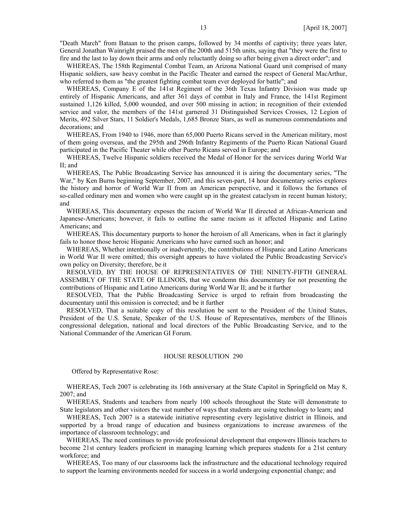"Death March" from Bataan to the prison camps, followed by 34 months of captivity; three years later, General Jonathan Wainright praised the men of the 200th and 515th units, saying that "they were the first to fire and the last to lay down their arms and only reluctantly doing so after being given a direct order"; and

 WHEREAS, The 158th Regimental Combat Team, an Arizona National Guard unit comprised of many Hispanic soldiers, saw heavy combat in the Pacific Theater and earned the respect of General MacArthur, who referred to them as "the greatest fighting combat team ever deployed for battle"; and

 WHEREAS, Company E of the 141st Regiment of the 36th Texas Infantry Division was made up entirely of Hispanic Americans, and after 361 days of combat in Italy and France, the 141st Regiment sustained 1,126 killed, 5,000 wounded, and over 500 missing in action; in recognition of their extended service and valor, the members of the 141st garnered 31 Distinguished Services Crosses, 12 Legion of Merits, 492 Silver Stars, 11 Soldier's Medals, 1,685 Bronze Stars, as well as numerous commendations and decorations; and

 WHEREAS, From 1940 to 1946, more than 65,000 Puerto Ricans served in the American military, most of them going overseas, and the 295th and 296th Infantry Regiments of the Puerto Rican National Guard participated in the Pacific Theater while other Puerto Ricans served in Europe; and

 WHEREAS, Twelve Hispanic soldiers received the Medal of Honor for the services during World War II; and

 WHEREAS, The Public Broadcasting Service has announced it is airing the documentary series, "The War," by Ken Burns beginning September, 2007, and this seven-part, 14 hour documentary series explores the history and horror of World War II from an American perspective, and it follows the fortunes of so-called ordinary men and women who were caught up in the greatest cataclysm in recent human history; and

 WHEREAS, This documentary exposes the racism of World War II directed at African-American and Japanese-Americans; however, it fails to outline the same racism as it affected Hispanic and Latino Americans; and

 WHEREAS, This documentary purports to honor the heroism of all Americans, when in fact it glaringly fails to honor those heroic Hispanic Americans who have earned such an honor; and

 WHEREAS, Whether intentionally or inadvertently, the contributions of Hispanic and Latino Americans in World War II were omitted; this oversight appears to have violated the Public Broadcasting Service's own policy on Diversity; therefore, be it

 RESOLVED, BY THE HOUSE OF REPRESENTATIVES OF THE NINETY-FIFTH GENERAL ASSEMBLY OF THE STATE OF ILLINOIS, that we condemn this documentary for not presenting the contributions of Hispanic and Latino Americans during World War II; and be it further

 RESOLVED, That the Public Broadcasting Service is urged to refrain from broadcasting the documentary until this omission is corrected; and be it further

 RESOLVED, That a suitable copy of this resolution be sent to the President of the United States, President of the U.S. Senate, Speaker of the U.S. House of Representatives, members of the Illinois congressional delegation, national and local directors of the Public Broadcasting Service, and to the National Commander of the American GI Forum.

#### HOUSE RESOLUTION 290

Offered by Representative Rose:

 WHEREAS, Tech 2007 is celebrating its 16th anniversary at the State Capitol in Springfield on May 8, 2007; and

 WHEREAS, Students and teachers from nearly 100 schools throughout the State will demonstrate to State legislators and other visitors the vast number of ways that students are using technology to learn; and

 WHEREAS, Tech 2007 is a statewide initiative representing every legislative district in Illinois, and supported by a broad range of education and business organizations to increase awareness of the importance of classroom technology; and

 WHEREAS, The need continues to provide professional development that empowers Illinois teachers to become 21st century leaders proficient in managing learning which prepares students for a 21st century workforce; and

 WHEREAS, Too many of our classrooms lack the infrastructure and the educational technology required to support the learning environments needed for success in a world undergoing exponential change; and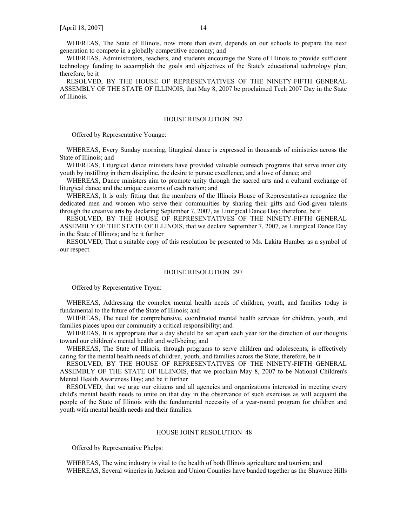WHEREAS, The State of Illinois, now more than ever, depends on our schools to prepare the next generation to compete in a globally competitive economy; and

 WHEREAS, Administrators, teachers, and students encourage the State of Illinois to provide sufficient technology funding to accomplish the goals and objectives of the State's educational technology plan; therefore, be it

 RESOLVED, BY THE HOUSE OF REPRESENTATIVES OF THE NINETY-FIFTH GENERAL ASSEMBLY OF THE STATE OF ILLINOIS, that May 8, 2007 be proclaimed Tech 2007 Day in the State of Illinois.

#### HOUSE RESOLUTION 292

Offered by Representative Younge:

 WHEREAS, Every Sunday morning, liturgical dance is expressed in thousands of ministries across the State of Illinois; and

 WHEREAS, Liturgical dance ministers have provided valuable outreach programs that serve inner city youth by instilling in them discipline, the desire to pursue excellence, and a love of dance; and

 WHEREAS, Dance ministers aim to promote unity through the sacred arts and a cultural exchange of liturgical dance and the unique customs of each nation; and

 WHEREAS, It is only fitting that the members of the Illinois House of Representatives recognize the dedicated men and women who serve their communities by sharing their gifts and God-given talents through the creative arts by declaring September 7, 2007, as Liturgical Dance Day; therefore, be it

 RESOLVED, BY THE HOUSE OF REPRESENTATIVES OF THE NINETY-FIFTH GENERAL ASSEMBLY OF THE STATE OF ILLINOIS, that we declare September 7, 2007, as Liturgical Dance Day in the State of Illinois; and be it further

 RESOLVED, That a suitable copy of this resolution be presented to Ms. Lakita Humber as a symbol of our respect.

#### HOUSE RESOLUTION 297

Offered by Representative Tryon:

 WHEREAS, Addressing the complex mental health needs of children, youth, and families today is fundamental to the future of the State of Illinois; and

 WHEREAS, The need for comprehensive, coordinated mental health services for children, youth, and families places upon our community a critical responsibility; and

WHEREAS, It is appropriate that a day should be set apart each year for the direction of our thoughts toward our children's mental health and well-being; and

 WHEREAS, The State of Illinois, through programs to serve children and adolescents, is effectively caring for the mental health needs of children, youth, and families across the State; therefore, be it

 RESOLVED, BY THE HOUSE OF REPRESENTATIVES OF THE NINETY-FIFTH GENERAL ASSEMBLY OF THE STATE OF ILLINOIS, that we proclaim May 8, 2007 to be National Children's Mental Health Awareness Day; and be it further

 RESOLVED, that we urge our citizens and all agencies and organizations interested in meeting every child's mental health needs to unite on that day in the observance of such exercises as will acquaint the people of the State of Illinois with the fundamental necessity of a year-round program for children and youth with mental health needs and their families.

#### HOUSE JOINT RESOLUTION 48

Offered by Representative Phelps:

 WHEREAS, The wine industry is vital to the health of both Illinois agriculture and tourism; and WHEREAS, Several wineries in Jackson and Union Counties have banded together as the Shawnee Hills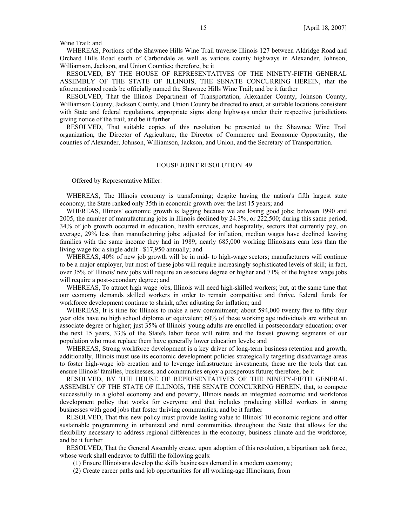Wine Trail; and

 WHEREAS, Portions of the Shawnee Hills Wine Trail traverse Illinois 127 between Aldridge Road and Orchard Hills Road south of Carbondale as well as various county highways in Alexander, Johnson, Williamson, Jackson, and Union Counties; therefore, be it

 RESOLVED, BY THE HOUSE OF REPRESENTATIVES OF THE NINETY-FIFTH GENERAL ASSEMBLY OF THE STATE OF ILLINOIS, THE SENATE CONCURRING HEREIN, that the aforementioned roads be officially named the Shawnee Hills Wine Trail; and be it further

 RESOLVED, That the Illinois Department of Transportation, Alexander County, Johnson County, Williamson County, Jackson County, and Union County be directed to erect, at suitable locations consistent with State and federal regulations, appropriate signs along highways under their respective jurisdictions giving notice of the trail; and be it further

 RESOLVED, That suitable copies of this resolution be presented to the Shawnee Wine Trail organization, the Director of Agriculture, the Director of Commerce and Economic Opportunity, the counties of Alexander, Johnson, Williamson, Jackson, and Union, and the Secretary of Transportation.

#### HOUSE JOINT RESOLUTION 49

Offered by Representative Miller:

 WHEREAS, The Illinois economy is transforming; despite having the nation's fifth largest state economy, the State ranked only 35th in economic growth over the last 15 years; and

 WHEREAS, Illinois' economic growth is lagging because we are losing good jobs; between 1990 and 2005, the number of manufacturing jobs in Illinois declined by 24.3%, or 222,500; during this same period, 34% of job growth occurred in education, health services, and hospitality, sectors that currently pay, on average, 29% less than manufacturing jobs; adjusted for inflation, median wages have declined leaving families with the same income they had in 1989; nearly 685,000 working Illinoisans earn less than the living wage for a single adult - \$17,950 annually; and

 WHEREAS, 40% of new job growth will be in mid- to high-wage sectors; manufacturers will continue to be a major employer, but most of these jobs will require increasingly sophisticated levels of skill; in fact, over 35% of Illinois' new jobs will require an associate degree or higher and 71% of the highest wage jobs will require a post-secondary degree; and

 WHEREAS, To attract high wage jobs, Illinois will need high-skilled workers; but, at the same time that our economy demands skilled workers in order to remain competitive and thrive, federal funds for workforce development continue to shrink, after adjusting for inflation; and

 WHEREAS, It is time for Illinois to make a new commitment; about 594,000 twenty-five to fifty-four year olds have no high school diploma or equivalent; 60% of these working age individuals are without an associate degree or higher; just 35% of Illinois' young adults are enrolled in postsecondary education; over the next 15 years, 33% of the State's labor force will retire and the fastest growing segments of our population who must replace them have generally lower education levels; and

 WHEREAS, Strong workforce development is a key driver of long-term business retention and growth; additionally, Illinois must use its economic development policies strategically targeting disadvantage areas to foster high-wage job creation and to leverage infrastructure investments; these are the tools that can ensure Illinois' families, businesses, and communities enjoy a prosperous future; therefore, be it

 RESOLVED, BY THE HOUSE OF REPRESENTATIVES OF THE NINETY-FIFTH GENERAL ASSEMBLY OF THE STATE OF ILLINOIS, THE SENATE CONCURRING HEREIN, that, to compete successfully in a global economy and end poverty, Illinois needs an integrated economic and workforce development policy that works for everyone and that includes producing skilled workers in strong businesses with good jobs that foster thriving communities; and be it further

 RESOLVED, That this new policy must provide lasting value to Illinois' 10 economic regions and offer sustainable programming in urbanized and rural communities throughout the State that allows for the flexibility necessary to address regional differences in the economy, business climate and the workforce; and be it further

 RESOLVED, That the General Assembly create, upon adoption of this resolution, a bipartisan task force, whose work shall endeavor to fulfill the following goals:

(1) Ensure Illinoisans develop the skills businesses demand in a modern economy;

(2) Create career paths and job opportunities for all working-age Illinoisans, from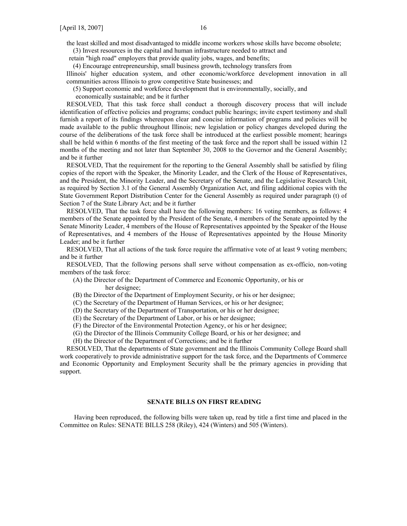the least skilled and most disadvantaged to middle income workers whose skills have become obsolete; (3) Invest resources in the capital and human infrastructure needed to attract and

retain "high road" employers that provide quality jobs, wages, and benefits;

(4) Encourage entrepreneurship, small business growth, technology transfers from

 Illinois' higher education system, and other economic/workforce development innovation in all communities across Illinois to grow competitive State businesses; and

(5) Support economic and workforce development that is environmentally, socially, and

economically sustainable; and be it further

 RESOLVED, That this task force shall conduct a thorough discovery process that will include identification of effective policies and programs; conduct public hearings; invite expert testimony and shall furnish a report of its findings whereupon clear and concise information of programs and policies will be made available to the public throughout Illinois; new legislation or policy changes developed during the course of the deliberations of the task force shall be introduced at the earliest possible moment; hearings shall be held within 6 months of the first meeting of the task force and the report shall be issued within 12 months of the meeting and not later than September 30, 2008 to the Governor and the General Assembly; and be it further

 RESOLVED, That the requirement for the reporting to the General Assembly shall be satisfied by filing copies of the report with the Speaker, the Minority Leader, and the Clerk of the House of Representatives, and the President, the Minority Leader, and the Secretary of the Senate, and the Legislative Research Unit, as required by Section 3.1 of the General Assembly Organization Act, and filing additional copies with the State Government Report Distribution Center for the General Assembly as required under paragraph (t) of Section 7 of the State Library Act; and be it further

 RESOLVED, That the task force shall have the following members: 16 voting members, as follows: 4 members of the Senate appointed by the President of the Senate, 4 members of the Senate appointed by the Senate Minority Leader, 4 members of the House of Representatives appointed by the Speaker of the House of Representatives, and 4 members of the House of Representatives appointed by the House Minority Leader; and be it further

 RESOLVED, That all actions of the task force require the affirmative vote of at least 9 voting members; and be it further

 RESOLVED, That the following persons shall serve without compensation as ex-officio, non-voting members of the task force:

 (A) the Director of the Department of Commerce and Economic Opportunity, or his or her designee;

(B) the Director of the Department of Employment Security, or his or her designee;

(C) the Secretary of the Department of Human Services, or his or her designee;

(D) the Secretary of the Department of Transportation, or his or her designee;

(E) the Secretary of the Department of Labor, or his or her designee;

(F) the Director of the Environmental Protection Agency, or his or her designee;

(G) the Director of the Illinois Community College Board, or his or her designee; and

(H) the Director of the Department of Corrections; and be it further

 RESOLVED, That the departments of State government and the Illinois Community College Board shall work cooperatively to provide administrative support for the task force, and the Departments of Commerce and Economic Opportunity and Employment Security shall be the primary agencies in providing that support.

# **SENATE BILLS ON FIRST READING**

Having been reproduced, the following bills were taken up, read by title a first time and placed in the Committee on Rules: SENATE BILLS 258 (Riley), 424 (Winters) and 505 (Winters).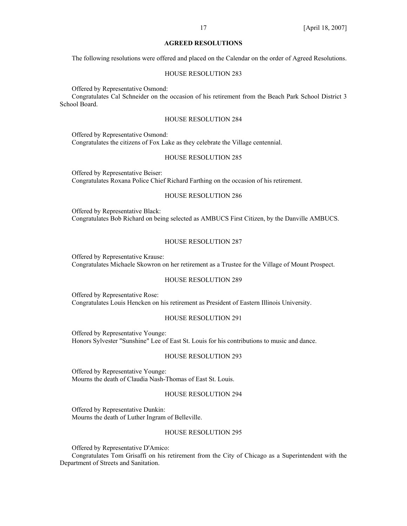# **AGREED RESOLUTIONS**

The following resolutions were offered and placed on the Calendar on the order of Agreed Resolutions.

#### HOUSE RESOLUTION 283

Offered by Representative Osmond:

Congratulates Cal Schneider on the occasion of his retirement from the Beach Park School District 3 School Board.

#### HOUSE RESOLUTION 284

 Offered by Representative Osmond: Congratulates the citizens of Fox Lake as they celebrate the Village centennial.

## HOUSE RESOLUTION 285

 Offered by Representative Beiser: Congratulates Roxana Police Chief Richard Farthing on the occasion of his retirement.

#### HOUSE RESOLUTION 286

 Offered by Representative Black: Congratulates Bob Richard on being selected as AMBUCS First Citizen, by the Danville AMBUCS.

#### HOUSE RESOLUTION 287

 Offered by Representative Krause: Congratulates Michaele Skowron on her retirement as a Trustee for the Village of Mount Prospect.

### HOUSE RESOLUTION 289

 Offered by Representative Rose: Congratulates Louis Hencken on his retirement as President of Eastern Illinois University.

### HOUSE RESOLUTION 291

 Offered by Representative Younge: Honors Sylvester "Sunshine" Lee of East St. Louis for his contributions to music and dance.

#### HOUSE RESOLUTION 293

 Offered by Representative Younge: Mourns the death of Claudia Nash-Thomas of East St. Louis.

# HOUSE RESOLUTION 294

 Offered by Representative Dunkin: Mourns the death of Luther Ingram of Belleville.

#### HOUSE RESOLUTION 295

Offered by Representative D'Amico:

Congratulates Tom Grisaffi on his retirement from the City of Chicago as a Superintendent with the Department of Streets and Sanitation.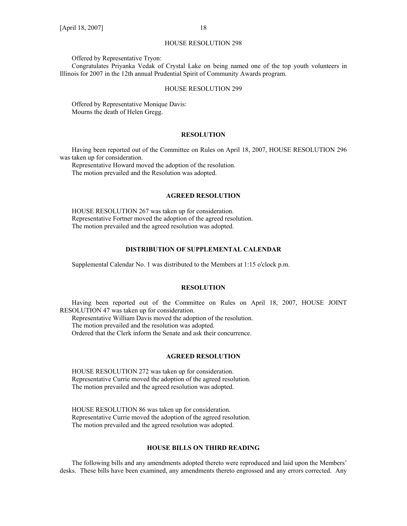#### HOUSE RESOLUTION 298

Offered by Representative Tryon:

Congratulates Priyanka Vedak of Crystal Lake on being named one of the top youth volunteers in Illinois for 2007 in the 12th annual Prudential Spirit of Community Awards program.

#### HOUSE RESOLUTION 299

 Offered by Representative Monique Davis: Mourns the death of Helen Gregg.

#### **RESOLUTION**

 Having been reported out of the Committee on Rules on April 18, 2007, HOUSE RESOLUTION 296 was taken up for consideration.

 Representative Howard moved the adoption of the resolution. The motion prevailed and the Resolution was adopted.

#### **AGREED RESOLUTION**

 HOUSE RESOLUTION 267 was taken up for consideration. Representative Fortner moved the adoption of the agreed resolution. The motion prevailed and the agreed resolution was adopted.

#### **DISTRIBUTION OF SUPPLEMENTAL CALENDAR**

Supplemental Calendar No. 1 was distributed to the Members at 1:15 o'clock p.m.

#### **RESOLUTION**

 Having been reported out of the Committee on Rules on April 18, 2007, HOUSE JOINT RESOLUTION 47 was taken up for consideration.

 Representative William Davis moved the adoption of the resolution. The motion prevailed and the resolution was adopted. Ordered that the Clerk inform the Senate and ask their concurrence.

#### **AGREED RESOLUTION**

 HOUSE RESOLUTION 272 was taken up for consideration. Representative Currie moved the adoption of the agreed resolution. The motion prevailed and the agreed resolution was adopted.

 HOUSE RESOLUTION 86 was taken up for consideration. Representative Currie moved the adoption of the agreed resolution. The motion prevailed and the agreed resolution was adopted.

#### **HOUSE BILLS ON THIRD READING**

 The following bills and any amendments adopted thereto were reproduced and laid upon the Members' desks. These bills have been examined, any amendments thereto engrossed and any errors corrected. Any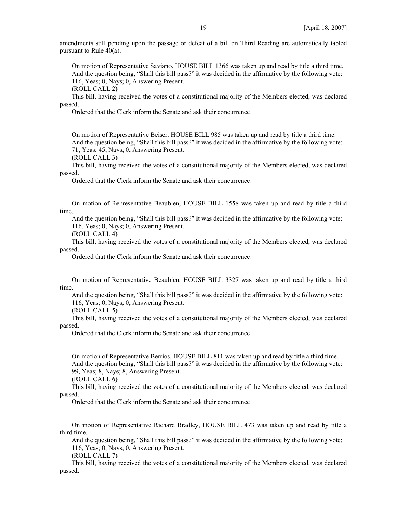amendments still pending upon the passage or defeat of a bill on Third Reading are automatically tabled pursuant to Rule 40(a).

 On motion of Representative Saviano, HOUSE BILL 1366 was taken up and read by title a third time. And the question being, "Shall this bill pass?" it was decided in the affirmative by the following vote: 116, Yeas; 0, Nays; 0, Answering Present.

(ROLL CALL 2)

 This bill, having received the votes of a constitutional majority of the Members elected, was declared passed.

Ordered that the Clerk inform the Senate and ask their concurrence.

 On motion of Representative Beiser, HOUSE BILL 985 was taken up and read by title a third time. And the question being, "Shall this bill pass?" it was decided in the affirmative by the following vote:

71, Yeas; 45, Nays; 0, Answering Present.

(ROLL CALL 3)

 This bill, having received the votes of a constitutional majority of the Members elected, was declared passed.

Ordered that the Clerk inform the Senate and ask their concurrence.

 On motion of Representative Beaubien, HOUSE BILL 1558 was taken up and read by title a third time.

 And the question being, "Shall this bill pass?" it was decided in the affirmative by the following vote: 116, Yeas; 0, Nays; 0, Answering Present.

(ROLL CALL 4)

 This bill, having received the votes of a constitutional majority of the Members elected, was declared passed.

Ordered that the Clerk inform the Senate and ask their concurrence.

 On motion of Representative Beaubien, HOUSE BILL 3327 was taken up and read by title a third time.

 And the question being, "Shall this bill pass?" it was decided in the affirmative by the following vote: 116, Yeas; 0, Nays; 0, Answering Present.

(ROLL CALL 5)

 This bill, having received the votes of a constitutional majority of the Members elected, was declared passed.

Ordered that the Clerk inform the Senate and ask their concurrence.

 On motion of Representative Berrios, HOUSE BILL 811 was taken up and read by title a third time. And the question being, "Shall this bill pass?" it was decided in the affirmative by the following vote: 99, Yeas; 8, Nays; 8, Answering Present.

(ROLL CALL 6)

 This bill, having received the votes of a constitutional majority of the Members elected, was declared passed.

Ordered that the Clerk inform the Senate and ask their concurrence.

 On motion of Representative Richard Bradley, HOUSE BILL 473 was taken up and read by title a third time.

 And the question being, "Shall this bill pass?" it was decided in the affirmative by the following vote: 116, Yeas; 0, Nays; 0, Answering Present.

(ROLL CALL 7)

 This bill, having received the votes of a constitutional majority of the Members elected, was declared passed.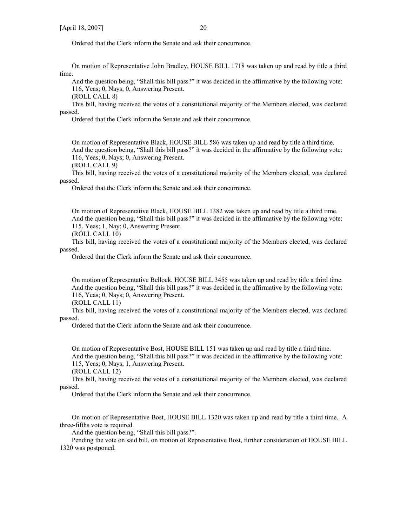Ordered that the Clerk inform the Senate and ask their concurrence.

 On motion of Representative John Bradley, HOUSE BILL 1718 was taken up and read by title a third time.

 And the question being, "Shall this bill pass?" it was decided in the affirmative by the following vote: 116, Yeas; 0, Nays; 0, Answering Present.

(ROLL CALL 8)

 This bill, having received the votes of a constitutional majority of the Members elected, was declared passed.

Ordered that the Clerk inform the Senate and ask their concurrence.

 On motion of Representative Black, HOUSE BILL 586 was taken up and read by title a third time. And the question being, "Shall this bill pass?" it was decided in the affirmative by the following vote: 116, Yeas; 0, Nays; 0, Answering Present.

(ROLL CALL 9)

 This bill, having received the votes of a constitutional majority of the Members elected, was declared passed.

Ordered that the Clerk inform the Senate and ask their concurrence.

 On motion of Representative Black, HOUSE BILL 1382 was taken up and read by title a third time. And the question being, "Shall this bill pass?" it was decided in the affirmative by the following vote: 115, Yeas; 1, Nay; 0, Answering Present.

(ROLL CALL 10)

 This bill, having received the votes of a constitutional majority of the Members elected, was declared passed.

Ordered that the Clerk inform the Senate and ask their concurrence.

 On motion of Representative Bellock, HOUSE BILL 3455 was taken up and read by title a third time. And the question being, "Shall this bill pass?" it was decided in the affirmative by the following vote: 116, Yeas; 0, Nays; 0, Answering Present.

(ROLL CALL 11)

 This bill, having received the votes of a constitutional majority of the Members elected, was declared passed.

Ordered that the Clerk inform the Senate and ask their concurrence.

 On motion of Representative Bost, HOUSE BILL 151 was taken up and read by title a third time. And the question being, "Shall this bill pass?" it was decided in the affirmative by the following vote: 115, Yeas; 0, Nays; 1, Answering Present.

(ROLL CALL 12)

 This bill, having received the votes of a constitutional majority of the Members elected, was declared passed.

Ordered that the Clerk inform the Senate and ask their concurrence.

 On motion of Representative Bost, HOUSE BILL 1320 was taken up and read by title a third time. A three-fifths vote is required.

And the question being, "Shall this bill pass?".

 Pending the vote on said bill, on motion of Representative Bost, further consideration of HOUSE BILL 1320 was postponed.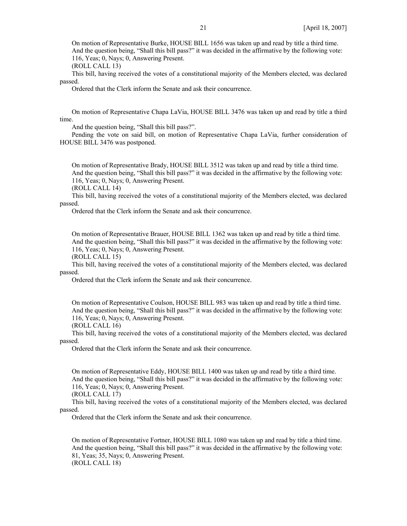On motion of Representative Burke, HOUSE BILL 1656 was taken up and read by title a third time. And the question being, "Shall this bill pass?" it was decided in the affirmative by the following vote: 116, Yeas; 0, Nays; 0, Answering Present.

(ROLL CALL 13)

 This bill, having received the votes of a constitutional majority of the Members elected, was declared passed.

Ordered that the Clerk inform the Senate and ask their concurrence.

 On motion of Representative Chapa LaVia, HOUSE BILL 3476 was taken up and read by title a third time.

And the question being, "Shall this bill pass?".

 Pending the vote on said bill, on motion of Representative Chapa LaVia, further consideration of HOUSE BILL 3476 was postponed.

 On motion of Representative Brady, HOUSE BILL 3512 was taken up and read by title a third time. And the question being, "Shall this bill pass?" it was decided in the affirmative by the following vote: 116, Yeas; 0, Nays; 0, Answering Present.

(ROLL CALL 14)

 This bill, having received the votes of a constitutional majority of the Members elected, was declared passed.

Ordered that the Clerk inform the Senate and ask their concurrence.

 On motion of Representative Brauer, HOUSE BILL 1362 was taken up and read by title a third time. And the question being, "Shall this bill pass?" it was decided in the affirmative by the following vote: 116, Yeas; 0, Nays; 0, Answering Present.

(ROLL CALL 15)

 This bill, having received the votes of a constitutional majority of the Members elected, was declared passed.

Ordered that the Clerk inform the Senate and ask their concurrence.

 On motion of Representative Coulson, HOUSE BILL 983 was taken up and read by title a third time. And the question being, "Shall this bill pass?" it was decided in the affirmative by the following vote: 116, Yeas; 0, Nays; 0, Answering Present.

(ROLL CALL 16)

 This bill, having received the votes of a constitutional majority of the Members elected, was declared passed.

Ordered that the Clerk inform the Senate and ask their concurrence.

 On motion of Representative Eddy, HOUSE BILL 1400 was taken up and read by title a third time. And the question being, "Shall this bill pass?" it was decided in the affirmative by the following vote: 116, Yeas; 0, Nays; 0, Answering Present.

(ROLL CALL 17)

 This bill, having received the votes of a constitutional majority of the Members elected, was declared passed.

Ordered that the Clerk inform the Senate and ask their concurrence.

 On motion of Representative Fortner, HOUSE BILL 1080 was taken up and read by title a third time. And the question being, "Shall this bill pass?" it was decided in the affirmative by the following vote: 81, Yeas; 35, Nays; 0, Answering Present. (ROLL CALL 18)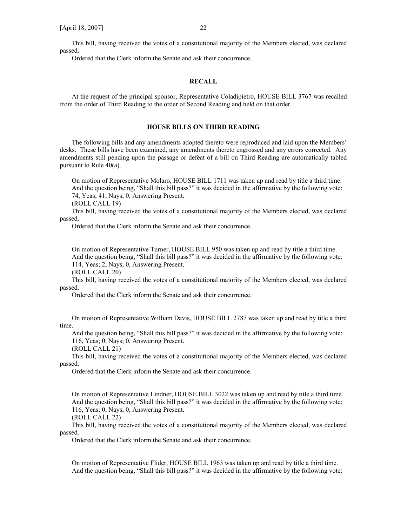This bill, having received the votes of a constitutional majority of the Members elected, was declared passed.

Ordered that the Clerk inform the Senate and ask their concurrence.

# **RECALL**

At the request of the principal sponsor, Representative Coladipietro, HOUSE BILL 3767 was recalled from the order of Third Reading to the order of Second Reading and held on that order.

#### **HOUSE BILLS ON THIRD READING**

 The following bills and any amendments adopted thereto were reproduced and laid upon the Members' desks. These bills have been examined, any amendments thereto engrossed and any errors corrected. Any amendments still pending upon the passage or defeat of a bill on Third Reading are automatically tabled pursuant to Rule 40(a).

 On motion of Representative Molaro, HOUSE BILL 1711 was taken up and read by title a third time. And the question being, "Shall this bill pass?" it was decided in the affirmative by the following vote: 74, Yeas; 41, Nays; 0, Answering Present.

(ROLL CALL 19)

 This bill, having received the votes of a constitutional majority of the Members elected, was declared passed.

Ordered that the Clerk inform the Senate and ask their concurrence.

 On motion of Representative Turner, HOUSE BILL 950 was taken up and read by title a third time. And the question being, "Shall this bill pass?" it was decided in the affirmative by the following vote: 114, Yeas; 2, Nays; 0, Answering Present.

(ROLL CALL 20)

 This bill, having received the votes of a constitutional majority of the Members elected, was declared passed.

Ordered that the Clerk inform the Senate and ask their concurrence.

 On motion of Representative William Davis, HOUSE BILL 2787 was taken up and read by title a third time.

 And the question being, "Shall this bill pass?" it was decided in the affirmative by the following vote: 116, Yeas; 0, Nays; 0, Answering Present.

(ROLL CALL 21)

 This bill, having received the votes of a constitutional majority of the Members elected, was declared passed.

Ordered that the Clerk inform the Senate and ask their concurrence.

 On motion of Representative Lindner, HOUSE BILL 3022 was taken up and read by title a third time. And the question being, "Shall this bill pass?" it was decided in the affirmative by the following vote: 116, Yeas; 0, Nays; 0, Answering Present.

(ROLL CALL 22)

 This bill, having received the votes of a constitutional majority of the Members elected, was declared passed.

Ordered that the Clerk inform the Senate and ask their concurrence.

 On motion of Representative Flider, HOUSE BILL 1963 was taken up and read by title a third time. And the question being, "Shall this bill pass?" it was decided in the affirmative by the following vote: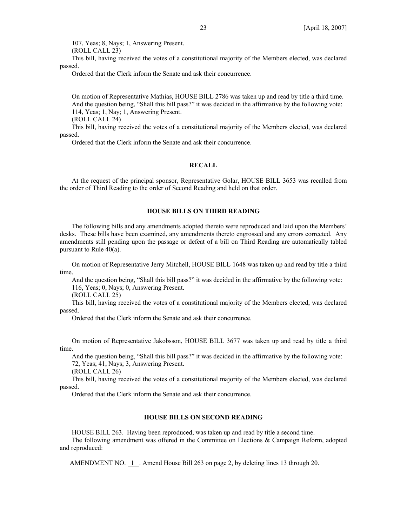107, Yeas; 8, Nays; 1, Answering Present.

(ROLL CALL 23)

 This bill, having received the votes of a constitutional majority of the Members elected, was declared passed.

Ordered that the Clerk inform the Senate and ask their concurrence.

 On motion of Representative Mathias, HOUSE BILL 2786 was taken up and read by title a third time. And the question being, "Shall this bill pass?" it was decided in the affirmative by the following vote: 114, Yeas; 1, Nay; 1, Answering Present.

(ROLL CALL 24)

 This bill, having received the votes of a constitutional majority of the Members elected, was declared passed.

Ordered that the Clerk inform the Senate and ask their concurrence.

# **RECALL**

At the request of the principal sponsor, Representative Golar, HOUSE BILL 3653 was recalled from the order of Third Reading to the order of Second Reading and held on that order.

# **HOUSE BILLS ON THIRD READING**

 The following bills and any amendments adopted thereto were reproduced and laid upon the Members' desks. These bills have been examined, any amendments thereto engrossed and any errors corrected. Any amendments still pending upon the passage or defeat of a bill on Third Reading are automatically tabled pursuant to Rule 40(a).

 On motion of Representative Jerry Mitchell, HOUSE BILL 1648 was taken up and read by title a third time.

 And the question being, "Shall this bill pass?" it was decided in the affirmative by the following vote: 116, Yeas; 0, Nays; 0, Answering Present.

(ROLL CALL 25)

 This bill, having received the votes of a constitutional majority of the Members elected, was declared passed.

Ordered that the Clerk inform the Senate and ask their concurrence.

 On motion of Representative Jakobsson, HOUSE BILL 3677 was taken up and read by title a third time.

 And the question being, "Shall this bill pass?" it was decided in the affirmative by the following vote: 72, Yeas; 41, Nays; 3, Answering Present.

(ROLL CALL 26)

 This bill, having received the votes of a constitutional majority of the Members elected, was declared passed.

Ordered that the Clerk inform the Senate and ask their concurrence.

# **HOUSE BILLS ON SECOND READING**

HOUSE BILL 263. Having been reproduced, was taken up and read by title a second time.

 The following amendment was offered in the Committee on Elections & Campaign Reform, adopted and reproduced:

AMENDMENT NO. 1 . Amend House Bill 263 on page 2, by deleting lines 13 through 20.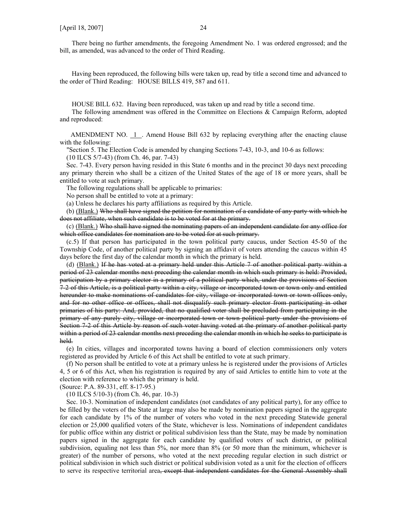There being no further amendments, the foregoing Amendment No. 1 was ordered engrossed; and the bill, as amended, was advanced to the order of Third Reading.

 Having been reproduced, the following bills were taken up, read by title a second time and advanced to the order of Third Reading: HOUSE BILLS 419, 587 and 611.

HOUSE BILL 632. Having been reproduced, was taken up and read by title a second time.

 The following amendment was offered in the Committee on Elections & Campaign Reform, adopted and reproduced:

 AMENDMENT NO. 1 . Amend House Bill 632 by replacing everything after the enacting clause with the following:

 "Section 5. The Election Code is amended by changing Sections 7-43, 10-3, and 10-6 as follows: (10 ILCS 5/7-43) (from Ch. 46, par. 7-43)

 Sec. 7-43. Every person having resided in this State 6 months and in the precinct 30 days next preceding any primary therein who shall be a citizen of the United States of the age of 18 or more years, shall be entitled to vote at such primary.

The following regulations shall be applicable to primaries:

No person shall be entitled to vote at a primary:

(a) Unless he declares his party affiliations as required by this Article.

 (b) (Blank.) Who shall have signed the petition for nomination of a candidate of any party with which he does not affiliate, when such candidate is to be voted for at the primary.

 (c) (Blank.) Who shall have signed the nominating papers of an independent candidate for any office for which office candidates for nomination are to be voted for at such primary.

 (c.5) If that person has participated in the town political party caucus, under Section 45-50 of the Township Code, of another political party by signing an affidavit of voters attending the caucus within 45 days before the first day of the calendar month in which the primary is held.

 (d) (Blank.) If he has voted at a primary held under this Article 7 of another political party within a period of 23 calendar months next preceding the calendar month in which such primary is held: Provided, participation by a primary elector in a primary of a political party which, under the provisions of Section 7-2 of this Article, is a political party within a city, village or incorporated town or town only and entitled hereunder to make nominations of candidates for city, village or incorporated town or town offices only, and for no other office or offices, shall not disqualify such primary elector from participating in other primaries of his party: And, provided, that no qualified voter shall be precluded from participating in the primary of any purely city, village or incorporated town or town political party under the provisions of Section 7-2 of this Article by reason of such voter having voted at the primary of another political party within a period of 23 calendar months next preceding the calendar month in which he seeks to participate is held.

 (e) In cities, villages and incorporated towns having a board of election commissioners only voters registered as provided by Article 6 of this Act shall be entitled to vote at such primary.

 (f) No person shall be entitled to vote at a primary unless he is registered under the provisions of Articles 4, 5 or 6 of this Act, when his registration is required by any of said Articles to entitle him to vote at the election with reference to which the primary is held.

(Source: P.A. 89-331, eff. 8-17-95.)

(10 ILCS 5/10-3) (from Ch. 46, par. 10-3)

 Sec. 10-3. Nomination of independent candidates (not candidates of any political party), for any office to be filled by the voters of the State at large may also be made by nomination papers signed in the aggregate for each candidate by 1% of the number of voters who voted in the next preceding Statewide general election or 25,000 qualified voters of the State, whichever is less. Nominations of independent candidates for public office within any district or political subdivision less than the State, may be made by nomination papers signed in the aggregate for each candidate by qualified voters of such district, or political subdivision, equaling not less than 5%, nor more than 8% (or 50 more than the minimum, whichever is greater) of the number of persons, who voted at the next preceding regular election in such district or political subdivision in which such district or political subdivision voted as a unit for the election of officers to serve its respective territorial area<del>, except that independent candidates for the General Assembly shall</del>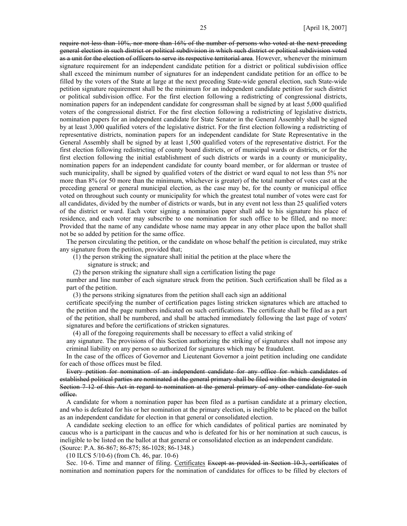require not less than 10%, nor more than 16% of the number of persons who voted at the next preceding general election in such district or political subdivision in which such district or political subdivision voted as a unit for the election of officers to serve its respective territorial area. However, whenever the minimum signature requirement for an independent candidate petition for a district or political subdivision office shall exceed the minimum number of signatures for an independent candidate petition for an office to be filled by the voters of the State at large at the next preceding State-wide general election, such State-wide petition signature requirement shall be the minimum for an independent candidate petition for such district or political subdivision office. For the first election following a redistricting of congressional districts, nomination papers for an independent candidate for congressman shall be signed by at least 5,000 qualified voters of the congressional district. For the first election following a redistricting of legislative districts, nomination papers for an independent candidate for State Senator in the General Assembly shall be signed by at least 3,000 qualified voters of the legislative district. For the first election following a redistricting of representative districts, nomination papers for an independent candidate for State Representative in the General Assembly shall be signed by at least 1,500 qualified voters of the representative district. For the first election following redistricting of county board districts, or of municipal wards or districts, or for the first election following the initial establishment of such districts or wards in a county or municipality, nomination papers for an independent candidate for county board member, or for alderman or trustee of such municipality, shall be signed by qualified voters of the district or ward equal to not less than 5% nor more than 8% (or 50 more than the minimum, whichever is greater) of the total number of votes cast at the preceding general or general municipal election, as the case may be, for the county or municipal office voted on throughout such county or municipality for which the greatest total number of votes were cast for all candidates, divided by the number of districts or wards, but in any event not less than 25 qualified voters of the district or ward. Each voter signing a nomination paper shall add to his signature his place of residence, and each voter may subscribe to one nomination for such office to be filled, and no more: Provided that the name of any candidate whose name may appear in any other place upon the ballot shall not be so added by petition for the same office.

 The person circulating the petition, or the candidate on whose behalf the petition is circulated, may strike any signature from the petition, provided that;

(1) the person striking the signature shall initial the petition at the place where the

signature is struck; and

(2) the person striking the signature shall sign a certification listing the page

 number and line number of each signature struck from the petition. Such certification shall be filed as a part of the petition.

(3) the persons striking signatures from the petition shall each sign an additional

certificate specifying the number of certification pages listing stricken signatures which are attached to the petition and the page numbers indicated on such certifications. The certificate shall be filed as a part of the petition, shall be numbered, and shall be attached immediately following the last page of voters' signatures and before the certifications of stricken signatures.

(4) all of the foregoing requirements shall be necessary to effect a valid striking of

 any signature. The provisions of this Section authorizing the striking of signatures shall not impose any criminal liability on any person so authorized for signatures which may be fraudulent.

 In the case of the offices of Governor and Lieutenant Governor a joint petition including one candidate for each of those offices must be filed.

 Every petition for nomination of an independent candidate for any office for which candidates of established political parties are nominated at the general primary shall be filed within the time designated in Section 7-12 of this Act in regard to nomination at the general primary of any other candidate for such office.

 A candidate for whom a nomination paper has been filed as a partisan candidate at a primary election, and who is defeated for his or her nomination at the primary election, is ineligible to be placed on the ballot as an independent candidate for election in that general or consolidated election.

 A candidate seeking election to an office for which candidates of political parties are nominated by caucus who is a participant in the caucus and who is defeated for his or her nomination at such caucus, is ineligible to be listed on the ballot at that general or consolidated election as an independent candidate. (Source: P.A. 86-867; 86-875; 86-1028; 86-1348.)

(10 ILCS 5/10-6) (from Ch. 46, par. 10-6)

 Sec. 10-6. Time and manner of filing. Certificates Except as provided in Section 10-3, certificates of nomination and nomination papers for the nomination of candidates for offices to be filled by electors of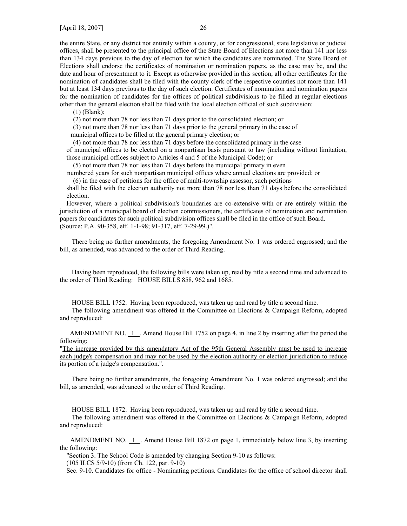the entire State, or any district not entirely within a county, or for congressional, state legislative or judicial offices, shall be presented to the principal office of the State Board of Elections not more than 141 nor less than 134 days previous to the day of election for which the candidates are nominated. The State Board of Elections shall endorse the certificates of nomination or nomination papers, as the case may be, and the date and hour of presentment to it. Except as otherwise provided in this section, all other certificates for the nomination of candidates shall be filed with the county clerk of the respective counties not more than 141 but at least 134 days previous to the day of such election. Certificates of nomination and nomination papers for the nomination of candidates for the offices of political subdivisions to be filled at regular elections other than the general election shall be filed with the local election official of such subdivision:

(1) (Blank);

(2) not more than 78 nor less than 71 days prior to the consolidated election; or

(3) not more than 78 nor less than 71 days prior to the general primary in the case of

municipal offices to be filled at the general primary election; or

(4) not more than 78 nor less than 71 days before the consolidated primary in the case

 of municipal offices to be elected on a nonpartisan basis pursuant to law (including without limitation, those municipal offices subject to Articles 4 and 5 of the Municipal Code); or

(5) not more than 78 nor less than 71 days before the municipal primary in even

numbered years for such nonpartisan municipal offices where annual elections are provided; or

(6) in the case of petitions for the office of multi-township assessor, such petitions

 shall be filed with the election authority not more than 78 nor less than 71 days before the consolidated election.

 However, where a political subdivision's boundaries are co-extensive with or are entirely within the jurisdiction of a municipal board of election commissioners, the certificates of nomination and nomination papers for candidates for such political subdivision offices shall be filed in the office of such Board. (Source: P.A. 90-358, eff. 1-1-98; 91-317, eff. 7-29-99.)".

 There being no further amendments, the foregoing Amendment No. 1 was ordered engrossed; and the bill, as amended, was advanced to the order of Third Reading.

 Having been reproduced, the following bills were taken up, read by title a second time and advanced to the order of Third Reading: HOUSE BILLS 858, 962 and 1685.

HOUSE BILL 1752. Having been reproduced, was taken up and read by title a second time.

 The following amendment was offered in the Committee on Elections & Campaign Reform, adopted and reproduced:

AMENDMENT NO. 1 . Amend House Bill 1752 on page 4, in line 2 by inserting after the period the following:

"The increase provided by this amendatory Act of the 95th General Assembly must be used to increase each judge's compensation and may not be used by the election authority or election jurisdiction to reduce its portion of a judge's compensation.".

 There being no further amendments, the foregoing Amendment No. 1 was ordered engrossed; and the bill, as amended, was advanced to the order of Third Reading.

HOUSE BILL 1872. Having been reproduced, was taken up and read by title a second time.

 The following amendment was offered in the Committee on Elections & Campaign Reform, adopted and reproduced:

 AMENDMENT NO. 1 . Amend House Bill 1872 on page 1, immediately below line 3, by inserting the following:

"Section 3. The School Code is amended by changing Section 9-10 as follows:

(105 ILCS 5/9-10) (from Ch. 122, par. 9-10)

Sec. 9-10. Candidates for office - Nominating petitions. Candidates for the office of school director shall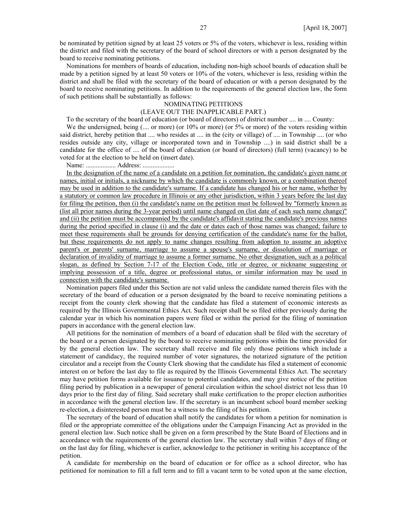be nominated by petition signed by at least 25 voters or 5% of the voters, whichever is less, residing within the district and filed with the secretary of the board of school directors or with a person designated by the board to receive nominating petitions.

 Nominations for members of boards of education, including non-high school boards of education shall be made by a petition signed by at least 50 voters or 10% of the voters, whichever is less, residing within the district and shall be filed with the secretary of the board of education or with a person designated by the board to receive nominating petitions. In addition to the requirements of the general election law, the form of such petitions shall be substantially as follows:

# NOMINATING PETITIONS

#### (LEAVE OUT THE INAPPLICABLE PART.)

To the secretary of the board of education (or board of directors) of district number .... in .... County:

We the undersigned, being (.... or more) (or 10% or more) (or 5% or more) of the voters residing within said district, hereby petition that .... who resides at .... in the (city or village) of .... in Township .... (or who resides outside any city, village or incorporated town and in Township ....) in said district shall be a candidate for the office of .... of the board of education (or board of directors) (full term) (vacancy) to be voted for at the election to be held on (insert date).

Name: ................... Address: ....................

 In the designation of the name of a candidate on a petition for nomination, the candidate's given name or names, initial or initials, a nickname by which the candidate is commonly known, or a combination thereof may be used in addition to the candidate's surname. If a candidate has changed his or her name, whether by a statutory or common law procedure in Illinois or any other jurisdiction, within 3 years before the last day for filing the petition, then (i) the candidate's name on the petition must be followed by "formerly known as (list all prior names during the 3-year period) until name changed on (list date of each such name change)" and (ii) the petition must be accompanied by the candidate's affidavit stating the candidate's previous names during the period specified in clause (i) and the date or dates each of those names was changed; failure to meet these requirements shall be grounds for denying certification of the candidate's name for the ballot, but these requirements do not apply to name changes resulting from adoption to assume an adoptive parent's or parents' surname, marriage to assume a spouse's surname, or dissolution of marriage or declaration of invalidity of marriage to assume a former surname. No other designation, such as a political slogan, as defined by Section 7-17 of the Election Code, title or degree, or nickname suggesting or implying possession of a title, degree or professional status, or similar information may be used in connection with the candidate's surname.

 Nomination papers filed under this Section are not valid unless the candidate named therein files with the secretary of the board of education or a person designated by the board to receive nominating petitions a receipt from the county clerk showing that the candidate has filed a statement of economic interests as required by the Illinois Governmental Ethics Act. Such receipt shall be so filed either previously during the calendar year in which his nomination papers were filed or within the period for the filing of nomination papers in accordance with the general election law.

 All petitions for the nomination of members of a board of education shall be filed with the secretary of the board or a person designated by the board to receive nominating petitions within the time provided for by the general election law. The secretary shall receive and file only those petitions which include a statement of candidacy, the required number of voter signatures, the notarized signature of the petition circulator and a receipt from the County Clerk showing that the candidate has filed a statement of economic interest on or before the last day to file as required by the Illinois Governmental Ethics Act. The secretary may have petition forms available for issuance to potential candidates, and may give notice of the petition filing period by publication in a newspaper of general circulation within the school district not less than 10 days prior to the first day of filing. Said secretary shall make certification to the proper election authorities in accordance with the general election law. If the secretary is an incumbent school board member seeking re-election, a disinterested person must be a witness to the filing of his petition.

 The secretary of the board of education shall notify the candidates for whom a petition for nomination is filed or the appropriate committee of the obligations under the Campaign Financing Act as provided in the general election law. Such notice shall be given on a form prescribed by the State Board of Elections and in accordance with the requirements of the general election law. The secretary shall within 7 days of filing or on the last day for filing, whichever is earlier, acknowledge to the petitioner in writing his acceptance of the petition.

 A candidate for membership on the board of education or for office as a school director, who has petitioned for nomination to fill a full term and to fill a vacant term to be voted upon at the same election,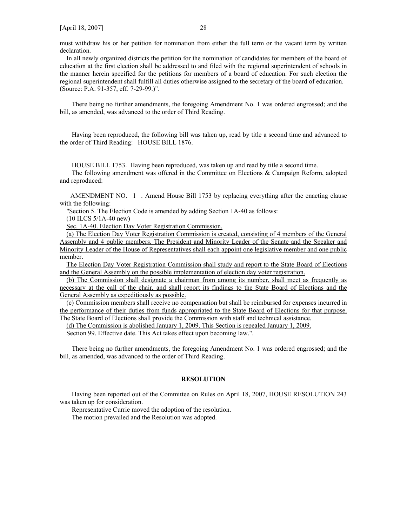must withdraw his or her petition for nomination from either the full term or the vacant term by written declaration.

 In all newly organized districts the petition for the nomination of candidates for members of the board of education at the first election shall be addressed to and filed with the regional superintendent of schools in the manner herein specified for the petitions for members of a board of education. For such election the regional superintendent shall fulfill all duties otherwise assigned to the secretary of the board of education. (Source: P.A. 91-357, eff. 7-29-99.)".

 There being no further amendments, the foregoing Amendment No. 1 was ordered engrossed; and the bill, as amended, was advanced to the order of Third Reading.

 Having been reproduced, the following bill was taken up, read by title a second time and advanced to the order of Third Reading: HOUSE BILL 1876.

HOUSE BILL 1753. Having been reproduced, was taken up and read by title a second time.

 The following amendment was offered in the Committee on Elections & Campaign Reform, adopted and reproduced:

 AMENDMENT NO. 1 . Amend House Bill 1753 by replacing everything after the enacting clause with the following:

"Section 5. The Election Code is amended by adding Section 1A-40 as follows:

(10 ILCS 5/1A-40 new)

Sec. 1A-40. Election Day Voter Registration Commission.

 (a) The Election Day Voter Registration Commission is created, consisting of 4 members of the General Assembly and 4 public members. The President and Minority Leader of the Senate and the Speaker and Minority Leader of the House of Representatives shall each appoint one legislative member and one public member.

 The Election Day Voter Registration Commission shall study and report to the State Board of Elections and the General Assembly on the possible implementation of election day voter registration.

 (b) The Commission shall designate a chairman from among its number, shall meet as frequently as necessary at the call of the chair, and shall report its findings to the State Board of Elections and the General Assembly as expeditiously as possible.

 (c) Commission members shall receive no compensation but shall be reimbursed for expenses incurred in the performance of their duties from funds appropriated to the State Board of Elections for that purpose. The State Board of Elections shall provide the Commission with staff and technical assistance.

(d) The Commission is abolished January 1, 2009. This Section is repealed January 1, 2009.

Section 99. Effective date. This Act takes effect upon becoming law.".

 There being no further amendments, the foregoing Amendment No. 1 was ordered engrossed; and the bill, as amended, was advanced to the order of Third Reading.

### **RESOLUTION**

 Having been reported out of the Committee on Rules on April 18, 2007, HOUSE RESOLUTION 243 was taken up for consideration.

Representative Currie moved the adoption of the resolution.

The motion prevailed and the Resolution was adopted.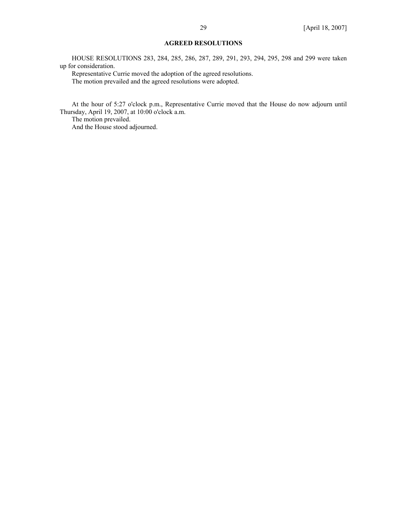# **AGREED RESOLUTIONS**

 HOUSE RESOLUTIONS 283, 284, 285, 286, 287, 289, 291, 293, 294, 295, 298 and 299 were taken up for consideration.

Representative Currie moved the adoption of the agreed resolutions.

The motion prevailed and the agreed resolutions were adopted.

 At the hour of 5:27 o'clock p.m., Representative Currie moved that the House do now adjourn until Thursday, April 19, 2007, at 10:00 o'clock a.m.

The motion prevailed.

And the House stood adjourned.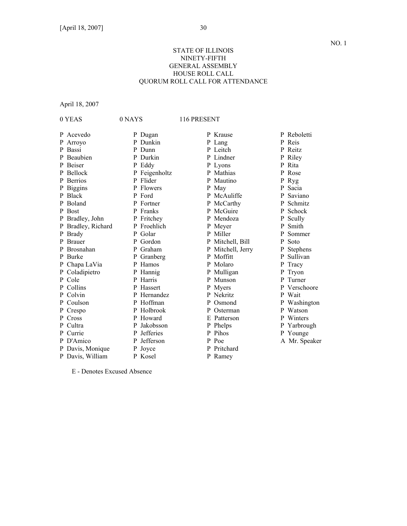# STATE OF ILLINOIS NINETY-FIFTH GENERAL ASSEMBLY HOUSE ROLL CALL QUORUM ROLL CALL FOR ATTENDANCE

April 18, 2007

| 0 YEAS             | 0 NAYS           | 116 PRESENT            |                 |
|--------------------|------------------|------------------------|-----------------|
| P Acevedo          | P Dugan          | P Krause               | P Reboletti     |
| P Arroyo           | P Dunkin         | P Lang                 | P Reis          |
| P Bassi            | P Dunn           | P Leitch               | P Reitz         |
| P Beaubien         | Durkin           | P Lindner              | P Riley         |
| P Beiser           | P Eddy           | P Lyons                | P Rita          |
| P Bellock          | P Feigenholtz    | P Mathias              | P Rose          |
| P Berrios          | P Flider         | P Mautino              | P Ryg           |
| P Biggins          | Flowers<br>P     | P May                  | P Sacia         |
| P Black            | P Ford           | P McAuliffe<br>P       | Saviano         |
| P Boland           | Fortner<br>P     | P McCarthy<br>P        | Schmitz         |
| P Bost             | Franks           | P McGuire              | P Schock        |
| P Bradley, John    | P Fritchey       | P Mendoza              | P Scully        |
| P Bradley, Richard | Froehlich<br>P   | P Meyer<br>P           | Smith           |
| P Brady            | Golar<br>P       | P Miller               | Sommer          |
| P Brauer           | Gordon<br>P      | P Mitchell, Bill<br>P  | Soto            |
| P Brosnahan        | Graham<br>P      | P Mitchell, Jerry<br>P | <b>Stephens</b> |
| P Burke            | Granberg         | P Moffitt<br>P         | Sullivan        |
| P Chapa LaVia      | P Hamos          | P Molaro               | P Tracy         |
| P Coladipietro     | P Hannig         | P Mulligan             | P Tryon         |
| P Cole             | Harris<br>P      | P Munson<br>P          | Turner          |
| P Collins          | Hassert<br>P     | P Myers                | P Verschoore    |
| P Colvin           | Hernandez<br>P   | P Nekritz              | P Wait          |
| P Coulson          | Hoffman<br>P     | P<br>Osmond            | P Washington    |
| P Crespo           | Holbrook         | P<br>Osterman          | P Watson        |
| P Cross            | P Howard         | E Patterson            | P Winters       |
| P Cultra           | Jakobsson<br>P   | P Phelps               | P Yarbrough     |
| P Currie           | <b>Jefferies</b> | P Pihos                | P Younge        |
| P D'Amico          | Jefferson<br>P   | P Poe                  | A Mr. Speaker   |
| P Davis, Monique   | Joyce<br>P       | P Pritchard            |                 |
| P Davis, William   | P Kosel          | P Ramey                |                 |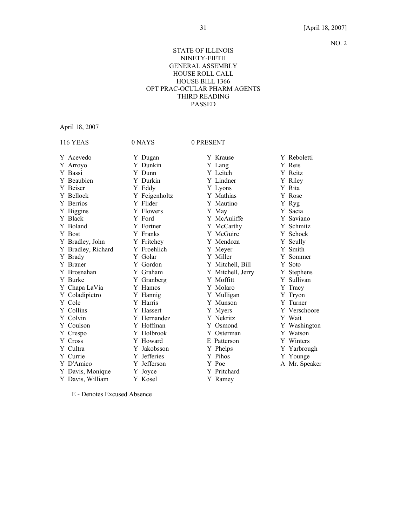# STATE OF ILLINOIS NINETY-FIFTH GENERAL ASSEMBLY HOUSE ROLL CALL HOUSE BILL 1366 OPT PRAC-OCULAR PHARM AGENTS THIRD READING PASSED

April 18, 2007

| <b>116 YEAS</b>    | 0 NAYS        | 0 PRESENT         |               |
|--------------------|---------------|-------------------|---------------|
| Y Acevedo          | Y Dugan       | Y Krause          | Y Reboletti   |
| Y Arroyo           | Y Dunkin      | Y Lang            | Y Reis        |
| Y Bassi            | Y Dunn        | Y Leitch          | Y Reitz       |
| Y Beaubien         | Y Durkin      | Y Lindner         | Y Riley       |
| Y Beiser           | Y Eddy        | Y Lyons           | Y Rita        |
| Y Bellock          | Y Feigenholtz | Y Mathias         | Y Rose        |
| Y Berrios          | Y Flider      | Y Mautino         | Y Ryg         |
| Y Biggins          | Y Flowers     | Y May             | Y Sacia       |
| Y Black            | Y Ford        | Y McAuliffe       | Y Saviano     |
| Y Boland           | Y Fortner     | Y McCarthy        | Y Schmitz     |
| Y Bost             | Y Franks      | Y McGuire         | Y Schock      |
| Y Bradley, John    | Y Fritchey    | Y Mendoza         | Y Scully      |
| Y Bradley, Richard | Y Froehlich   | Y Meyer           | Y Smith       |
| Y Brady            | Y Golar       | Y Miller          | Y Sommer      |
| Y Brauer           | Y Gordon      | Y Mitchell, Bill  | Y Soto        |
| Y Brosnahan        | Y Graham      | Y Mitchell, Jerry | Y Stephens    |
| Y Burke            | Y Granberg    | Y Moffitt         | Y Sullivan    |
| Y Chapa LaVia      | Y Hamos       | Y Molaro          | Y Tracy       |
| Y Coladipietro     | Y Hannig      | Y Mulligan        | Y Tryon       |
| Y Cole             | Y Harris      | Y Munson          | Y Turner      |
| Y Collins          | Y Hassert     | Y Myers           | Y Verschoore  |
| Y Colvin           | Y Hernandez   | Y Nekritz         | Y Wait        |
| Y Coulson          | Y Hoffman     | Y Osmond          | Y Washington  |
| Y Crespo           | Y Holbrook    | Y Osterman        | Y Watson      |
| Y Cross            | Y Howard      | E Patterson       | Y Winters     |
| Y Cultra           | Y Jakobsson   | Y Phelps          | Y Yarbrough   |
| Y Currie           | Y Jefferies   | Y Pihos           | Y Younge      |
| Y D'Amico          | Y Jefferson   | Y Poe             | A Mr. Speaker |
| Y Davis, Monique   | Y Joyce       | Y Pritchard       |               |
| Y Davis, William   | Y Kosel       | Y Ramey           |               |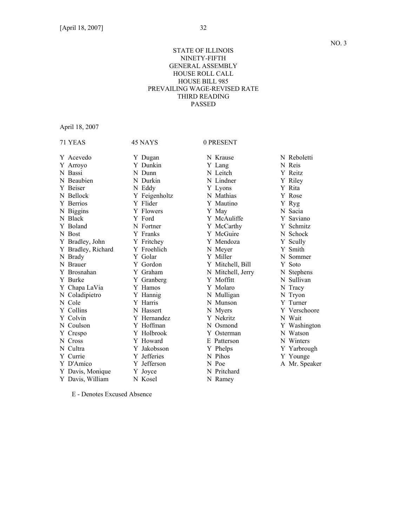# STATE OF ILLINOIS NINETY-FIFTH GENERAL ASSEMBLY HOUSE ROLL CALL HOUSE BILL 985 PREVAILING WAGE-REVISED RATE THIRD READING PASSED

April 18, 2007

| 71 YEAS            | 45 NAYS       | 0 PRESENT         |               |
|--------------------|---------------|-------------------|---------------|
| Y Acevedo          | Y Dugan       | N Krause          | N Reboletti   |
| Y Arroyo           | Y Dunkin      | Y Lang            | N Reis        |
| N Bassi            | N Dunn        | N Leitch          | Y Reitz       |
| N Beaubien         | N Durkin      | N Lindner         | Y Riley       |
| Y Beiser           | N Eddy        | Y Lyons           | Y Rita        |
| N Bellock          | Y Feigenholtz | N Mathias         | Y Rose        |
| Y Berrios          | Y Flider      | Y Mautino         | Y Ryg         |
| N Biggins          | Y Flowers     | Y May             | N Sacia       |
| N Black            | Y Ford        | Y McAuliffe       | Y Saviano     |
| Y Boland           | N Fortner     | Y McCarthy        | Y Schmitz     |
| N Bost             | Y Franks      | Y McGuire         | N Schock      |
| Y Bradley, John    | Y Fritchey    | Y Mendoza         | Y Scully      |
| Y Bradley, Richard | Y Froehlich   | N Meyer           | Y Smith       |
| N Brady            | Y Golar       | Y Miller          | N Sommer      |
| N Brauer           | Y Gordon      | Y Mitchell, Bill  | Y Soto        |
| Y Brosnahan        | Y Graham      | N Mitchell, Jerry | N Stephens    |
| Y Burke            | Y Granberg    | Y Moffitt         | N Sullivan    |
| Y Chapa LaVia      | Y Hamos       | Y Molaro          | N Tracy       |
| N Coladipietro     | Y Hannig      | N Mulligan        | N Tryon       |
| N Cole             | Y Harris      | N Munson          | Y Turner      |
| Y Collins          | N Hassert     | N Myers           | Y Verschoore  |
| Y Colvin           | Y Hernandez   | Y Nekritz         | N Wait        |
| N Coulson          | Y Hoffman     | N Osmond          | Y Washington  |
| Y Crespo           | Y Holbrook    | Y Osterman        | N Watson      |
| N Cross            | Y Howard      | E Patterson       | N Winters     |
| N Cultra           | Y Jakobsson   | Y Phelps          | Y Yarbrough   |
| Y Currie           | Y Jefferies   | N Pihos           | Y Younge      |
| Y D'Amico          | Y Jefferson   | N Poe             | A Mr. Speaker |
| Y Davis, Monique   | Y Joyce       | N Pritchard       |               |
| Y Davis, William   | N Kosel       | N Ramey           |               |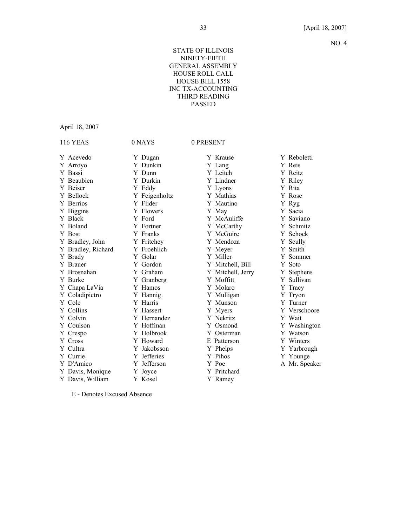# STATE OF ILLINOIS NINETY-FIFTH GENERAL ASSEMBLY HOUSE ROLL CALL HOUSE BILL 1558 INC TX-ACCOUNTING THIRD READING PASSED

April 18, 2007

| <b>116 YEAS</b>    | 0 NAYS        | 0 PRESENT         |               |
|--------------------|---------------|-------------------|---------------|
| Y Acevedo          | Y Dugan       | Y Krause          | Y Reboletti   |
| Y Arroyo           | Y Dunkin      | Y Lang            | Y Reis        |
| Y Bassi            | Y Dunn        | Y Leitch          | Y Reitz       |
| Y Beaubien         | Y Durkin      | Y Lindner         | Y Riley       |
| Y Beiser           | Y Eddy        | Y Lyons           | Y Rita        |
| Y Bellock          | Y Feigenholtz | Y Mathias         | Y Rose        |
| Y Berrios          | Y Flider      | Y Mautino         | Y Ryg         |
| Y Biggins          | Y Flowers     | Y May             | Y Sacia       |
| Y Black            | Y Ford        | Y McAuliffe       | Y Saviano     |
| Y Boland           | Y Fortner     | Y McCarthy        | Y Schmitz     |
| Y Bost             | Y Franks      | Y McGuire         | Y Schock      |
| Y Bradley, John    | Y Fritchey    | Y Mendoza         | Y Scully      |
| Y Bradley, Richard | Y Froehlich   | Y Meyer           | Y Smith       |
| Y Brady            | Y Golar       | Y Miller          | Y Sommer      |
| Y Brauer           | Y Gordon      | Y Mitchell, Bill  | Y Soto        |
| Y Brosnahan        | Y Graham      | Y Mitchell, Jerry | Y Stephens    |
| Y Burke            | Y Granberg    | Y Moffitt         | Y Sullivan    |
| Y Chapa LaVia      | Y Hamos       | Y Molaro          | Y Tracy       |
| Y Coladipietro     | Y Hannig      | Y Mulligan        | Y Tryon       |
| Y Cole             | Y Harris      | Y Munson          | Y Turner      |
| Y Collins          | Y Hassert     | Y Myers           | Y Verschoore  |
| Y Colvin           | Y Hernandez   | Y Nekritz         | Y Wait        |
| Y Coulson          | Y Hoffman     | Y Osmond          | Y Washington  |
| Y Crespo           | Y Holbrook    | Y Osterman        | Y Watson      |
| Y Cross            | Y Howard      | E Patterson       | Y Winters     |
| Y Cultra           | Y Jakobsson   | Y Phelps          | Y Yarbrough   |
| Y Currie           | Y Jefferies   | Y Pihos           | Y Younge      |
| Y D'Amico          | Y Jefferson   | Y Poe             | A Mr. Speaker |
| Y Davis, Monique   | Y Joyce       | Y Pritchard       |               |
| Y Davis, William   | Y Kosel       | Y Ramey           |               |
|                    |               |                   |               |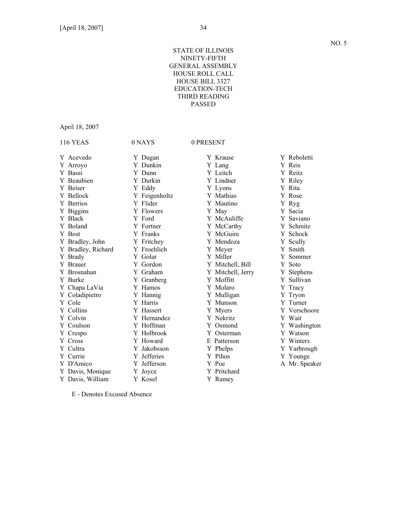# STATE OF ILLINOIS NINETY-FIFTH GENERAL ASSEMBLY HOUSE ROLL CALL HOUSE BILL 3327 EDUCATION-TECH THIRD READING PASSED

April 18, 2007

| <b>116 YEAS</b>                                                                      | 0 NAYS                                                                      | 0 PRESENT                                                             |                                                       |
|--------------------------------------------------------------------------------------|-----------------------------------------------------------------------------|-----------------------------------------------------------------------|-------------------------------------------------------|
| Y Acevedo                                                                            | Y Dugan                                                                     | Y Krause                                                              | Y Reboletti                                           |
| Y Arroyo                                                                             | Y Dunkin                                                                    | Y Lang                                                                | Y Reis                                                |
| Y Bassi                                                                              | Y Dunn                                                                      | Y Leitch                                                              | Y Reitz                                               |
| Y Beaubien                                                                           | Y Durkin                                                                    | Y Lindner                                                             | Y Riley                                               |
| Y Beiser                                                                             | Y Eddy                                                                      | Y Lyons                                                               | Y Rita                                                |
| Y Bellock                                                                            | Y Feigenholtz                                                               | Y Mathias                                                             | Y Rose                                                |
| Y Berrios                                                                            | Y Flider                                                                    | Y Mautino                                                             | Y Ryg                                                 |
| Y Biggins                                                                            | Y Flowers                                                                   | Y May                                                                 | Y Sacia                                               |
| Y Black                                                                              | Y Ford                                                                      | Y McAuliffe                                                           | Y Saviano                                             |
| Y Boland                                                                             | Y Fortner                                                                   | Y McCarthy                                                            | Y Schmitz                                             |
| Y Bost                                                                               | Y Franks                                                                    | Y McGuire                                                             | Y Schock                                              |
| Y Bradley, John                                                                      | Y Fritchey                                                                  | Y Mendoza                                                             | Y Scully                                              |
| Y Bradley, Richard                                                                   | Y Froehlich                                                                 | Y Meyer                                                               | Y Smith                                               |
| Y Brady                                                                              | Y Golar                                                                     | Y Miller                                                              | Y Sommer                                              |
| Y Brauer                                                                             | Y Gordon                                                                    | Y Mitchell, Bill                                                      | Y Soto                                                |
| Y Brosnahan                                                                          | Y Graham                                                                    | Y Mitchell, Jerry                                                     | Y Stephens                                            |
| Y Burke                                                                              | Y Granberg                                                                  | Y Moffitt                                                             | Y Sullivan                                            |
| Y Chapa LaVia                                                                        | Y Hamos                                                                     | Y Molaro                                                              | Y Tracy                                               |
| Y Coladipietro                                                                       | Y Hannig                                                                    | Y Mulligan                                                            | Y Tryon                                               |
| Y Cole                                                                               | Y Harris                                                                    | Y Munson                                                              | Y Turner                                              |
| Y Collins                                                                            | Y Hassert                                                                   | Y Myers                                                               | Y Verschoore                                          |
| Y Colvin                                                                             | Y Hernandez                                                                 | Y Nekritz                                                             | Y Wait                                                |
| Y Coulson                                                                            | Y Hoffman                                                                   | Y Osmond                                                              | Y Washington                                          |
| Y Crespo                                                                             | Y Holbrook                                                                  | Y Osterman                                                            | Y Watson                                              |
| Y Cross<br>Y Cultra<br>Y Currie<br>Y D'Amico<br>Y Davis, Monique<br>Y Davis, William | Y Howard<br>Y Jakobsson<br>Y Jefferies<br>Y Jefferson<br>Y Joyce<br>Y Kosel | E Patterson<br>Y Phelps<br>Y Pihos<br>Y Poe<br>Y Pritchard<br>Y Ramey | Y Winters<br>Y Yarbrough<br>Y Younge<br>A Mr. Speaker |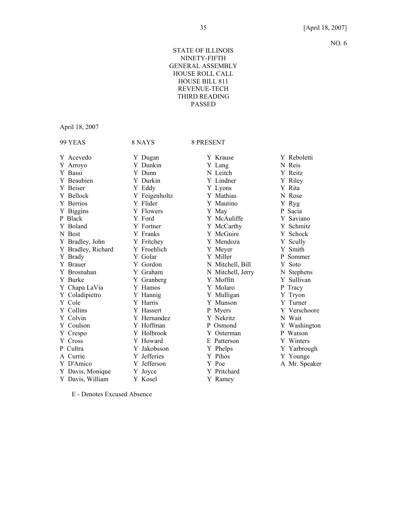# STATE OF ILLINOIS NINETY-FIFTH GENERAL ASSEMBLY HOUSE ROLL CALL HOUSE BILL 811 REVENUE-TECH THIRD READING PASSED

April 18, 2007

| 99 YEAS            | 8 NAYS        | <b>8 PRESENT</b>  |               |
|--------------------|---------------|-------------------|---------------|
| Y Acevedo          | Y Dugan       | Y Krause          | Y Reboletti   |
| Y Arroyo           | Y Dunkin      | Y Lang            | N Reis        |
| Y Bassi            | Y Dunn        | N Leitch          | Y Reitz       |
| Y Beaubien         | Y Durkin      | Y Lindner         | Y Riley       |
| Y Beiser           | Y Eddy        | Y Lyons           | Y Rita        |
| Y Bellock          | Y Feigenholtz | Y Mathias         | N Rose        |
| Y Berrios          | Y Flider      | Y Mautino         | Y Ryg         |
| Y Biggins          | Y Flowers     | Y May             | P Sacia       |
| P Black            | Y Ford        | Y McAuliffe       | Y Saviano     |
| Y Boland           | Y Fortner     | Y McCarthy        | Y Schmitz     |
| N Bost             | Y Franks      | Y McGuire         | Y Schock      |
| Y Bradley, John    | Y Fritchey    | Y Mendoza         | Y Scully      |
| Y Bradley, Richard | Y Froehlich   | Y Meyer           | Y Smith       |
| Y Brady            | Y Golar       | Y Miller          | P Sommer      |
| Y Brauer           | Y Gordon      | N Mitchell, Bill  | Y Soto        |
| Y Brosnahan        | Y Graham      | N Mitchell, Jerry | N Stephens    |
| Y Burke            | Y Granberg    | Y Moffitt         | Y Sullivan    |
| Y Chapa LaVia      | Y Hamos       | Y Molaro          | P Tracy       |
| Y Coladipietro     | Y Hannig      | Y Mulligan        | Y Tryon       |
| Y Cole             | Y Harris      | Y Munson          | Y Turner      |
| Y Collins          | Y Hassert     | P Myers           | Y Verschoore  |
| Y Colvin           | Y Hernandez   | Y Nekritz         | N Wait        |
| Y Coulson          | Y Hoffman     | P Osmond          | Y Washington  |
| Y Crespo           | Y Holbrook    | Y Osterman        | P Watson      |
| Y Cross            | Y Howard      | E Patterson       | Y Winters     |
| P Cultra           | Y Jakobsson   | Y Phelps          | Y Yarbrough   |
| A Currie           | Y Jefferies   | Y Pihos           | Y Younge      |
| Y D'Amico          | Y Jefferson   | Y Poe             | A Mr. Speaker |
| Y Davis, Monique   | Y Joyce       | Y Pritchard       |               |
| Y Davis, William   | Y Kosel       | Y Ramey           |               |
|                    |               |                   |               |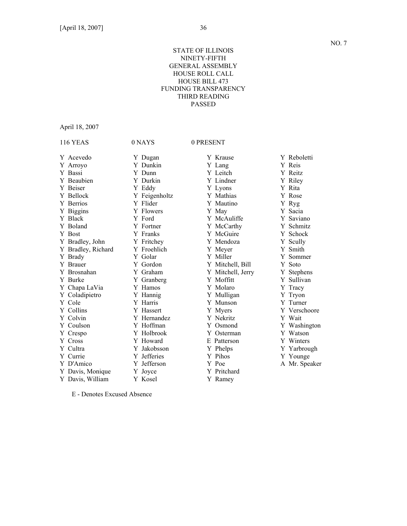# STATE OF ILLINOIS NINETY-FIFTH GENERAL ASSEMBLY HOUSE ROLL CALL HOUSE BILL 473 FUNDING TRANSPARENCY THIRD READING PASSED

April 18, 2007

| <b>116 YEAS</b>    | 0 NAYS        | 0 PRESENT         |               |
|--------------------|---------------|-------------------|---------------|
| Y Acevedo          | Y Dugan       | Y Krause          | Y Reboletti   |
| Y Arroyo           | Y Dunkin      | Y Lang            | Y Reis        |
| Y Bassi            | Y Dunn        | Y Leitch          | Y Reitz       |
| Y Beaubien         | Y Durkin      | Y Lindner         | Y Riley       |
| Y Beiser           | Y Eddy        | Y Lyons           | Y Rita        |
| Y Bellock          | Y Feigenholtz | Y Mathias         | Y Rose        |
| Y Berrios          | Y Flider      | Y Mautino         | Y Ryg         |
| Y Biggins          | Y Flowers     | Y May             | Y Sacia       |
| Y Black            | Y Ford        | Y McAuliffe       | Y Saviano     |
| Y Boland           | Y Fortner     | Y McCarthy        | Y Schmitz     |
| Y Bost             | Y Franks      | Y McGuire         | Y Schock      |
| Y Bradley, John    | Y Fritchey    | Y Mendoza         | Y Scully      |
| Y Bradley, Richard | Y Froehlich   | Y Meyer           | Y Smith       |
| Y Brady            | Y Golar       | Y Miller          | Y Sommer      |
| Y Brauer           | Y Gordon      | Y Mitchell, Bill  | Y Soto        |
| Y Brosnahan        | Y Graham      | Y Mitchell, Jerry | Y Stephens    |
| Y Burke            | Y Granberg    | Y Moffitt         | Y Sullivan    |
| Y Chapa LaVia      | Y Hamos       | Y Molaro          | Y Tracy       |
| Y Coladipietro     | Y Hannig      | Y Mulligan        | Y Tryon       |
| Y Cole             | Y Harris      | Y Munson          | Y Turner      |
| Y Collins          | Y Hassert     | Y Myers           | Y Verschoore  |
| Y Colvin           | Y Hernandez   | Y Nekritz         | Y Wait        |
| Y Coulson          | Y Hoffman     | Y Osmond          | Y Washington  |
| Y Crespo           | Y Holbrook    | Y Osterman        | Y Watson      |
| Y Cross            | Y Howard      | E Patterson       | Y Winters     |
| Y Cultra           | Y Jakobsson   | Y Phelps          | Y Yarbrough   |
| Y Currie           | Y Jefferies   | Y Pihos           | Y Younge      |
| Y D'Amico          | Y Jefferson   | Y Poe             | A Mr. Speaker |
| Y Davis, Monique   | Y Joyce       | Y Pritchard       |               |
| Y Davis, William   | Y Kosel       | Y Ramey           |               |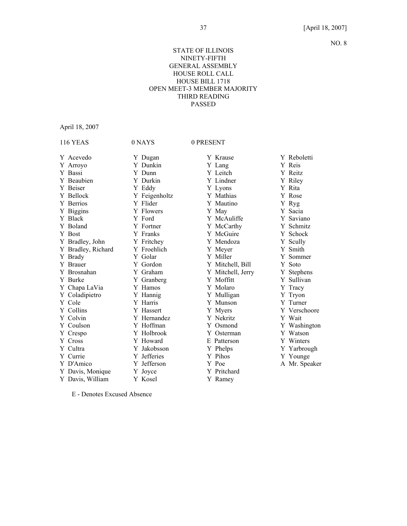# STATE OF ILLINOIS NINETY-FIFTH GENERAL ASSEMBLY HOUSE ROLL CALL HOUSE BILL 1718 OPEN MEET-3 MEMBER MAJORITY THIRD READING PASSED

April 18, 2007

| <b>116 YEAS</b>    | 0 NAYS        | 0 PRESENT         |               |
|--------------------|---------------|-------------------|---------------|
| Y Acevedo          | Y Dugan       | Y Krause          | Y Reboletti   |
| Y Arroyo           | Y Dunkin      | Y Lang            | Y Reis        |
| Y Bassi            | Y Dunn        | Y Leitch          | Y Reitz       |
| Y Beaubien         | Y Durkin      | Y Lindner         | Y Riley       |
| Y Beiser           | Y Eddy        | Y Lyons           | Y Rita        |
| Y Bellock          | Y Feigenholtz | Y Mathias         | Y Rose        |
| Y Berrios          | Y Flider      | Y Mautino         | Y Ryg         |
| Y Biggins          | Y Flowers     | Y May             | Y Sacia       |
| Y Black            | Y Ford        | Y McAuliffe       | Y Saviano     |
| Y Boland           | Y Fortner     | Y McCarthy        | Y Schmitz     |
| Y Bost             | Y Franks      | Y McGuire         | Y Schock      |
| Y Bradley, John    | Y Fritchey    | Y Mendoza         | Y Scully      |
| Y Bradley, Richard | Y Froehlich   | Y Meyer           | Y Smith       |
| Y Brady            | Y Golar       | Y Miller          | Y Sommer      |
| Y Brauer           | Y Gordon      | Y Mitchell, Bill  | Y Soto        |
| Y Brosnahan        | Y Graham      | Y Mitchell, Jerry | Y Stephens    |
| Y Burke            | Y Granberg    | Y Moffitt         | Y Sullivan    |
| Y Chapa LaVia      | Y Hamos       | Y Molaro          | Y Tracy       |
| Y Coladipietro     | Y Hannig      | Y Mulligan        | Y Tryon       |
| Y Cole             | Y Harris      | Y Munson          | Y Turner      |
| Y Collins          | Y Hassert     | Y Myers           | Y Verschoore  |
| Y Colvin           | Y Hernandez   | Y Nekritz         | Y Wait        |
| Y Coulson          | Y Hoffman     | Y Osmond          | Y Washington  |
| Y Crespo           | Y Holbrook    | Y Osterman        | Y Watson      |
| Y Cross            | Y Howard      | E Patterson       | Y Winters     |
| Y Cultra           | Y Jakobsson   | Y Phelps          | Y Yarbrough   |
| Y Currie           | Y Jefferies   | Y Pihos           | Y Younge      |
| Y D'Amico          | Y Jefferson   | Y Poe             | A Mr. Speaker |
| Y Davis, Monique   | Y Joyce       | Y Pritchard       |               |
| Y Davis, William   | Y Kosel       | Y Ramey           |               |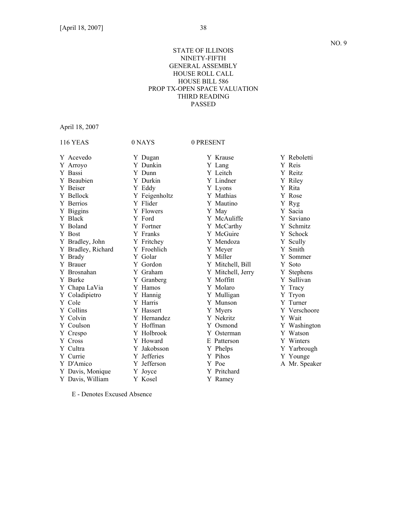# STATE OF ILLINOIS NINETY-FIFTH GENERAL ASSEMBLY HOUSE ROLL CALL HOUSE BILL 586 PROP TX-OPEN SPACE VALUATION THIRD READING PASSED

April 18, 2007

| <b>116 YEAS</b>    | 0 NAYS        | 0 PRESENT         |               |
|--------------------|---------------|-------------------|---------------|
| Y Acevedo          | Y Dugan       | Y Krause          | Y Reboletti   |
| Y Arroyo           | Y Dunkin      | Y Lang            | Y Reis        |
| Y Bassi            | Y Dunn        | Y Leitch          | Y Reitz       |
| Y Beaubien         | Y Durkin      | Y Lindner         | Y Riley       |
| Y Beiser           | Y Eddy        | Y Lyons           | Y Rita        |
| Y Bellock          | Y Feigenholtz | Y Mathias         | Y Rose        |
| Y Berrios          | Y Flider      | Y Mautino         | Y Ryg         |
| Y Biggins          | Y Flowers     | Y May             | Y Sacia       |
| Y Black            | Y Ford        | Y McAuliffe       | Y Saviano     |
| Y Boland           | Y Fortner     | Y McCarthy        | Y Schmitz     |
| Y Bost             | Y Franks      | Y McGuire         | Y Schock      |
| Y Bradley, John    | Y Fritchey    | Y Mendoza         | Y Scully      |
| Y Bradley, Richard | Y Froehlich   | Y Meyer           | Y Smith       |
| Y Brady            | Y Golar       | Y Miller          | Y Sommer      |
| Y Brauer           | Y Gordon      | Y Mitchell, Bill  | Y Soto        |
| Y Brosnahan        | Y Graham      | Y Mitchell, Jerry | Y Stephens    |
| Y Burke            | Y Granberg    | Y Moffitt         | Y Sullivan    |
| Y Chapa LaVia      | Y Hamos       | Y Molaro          | Y Tracy       |
| Y Coladipietro     | Y Hannig      | Y Mulligan        | Y Tryon       |
| Y Cole             | Y Harris      | Y Munson          | Y Turner      |
| Y Collins          | Y Hassert     | Y Myers           | Y Verschoore  |
| Y Colvin           | Y Hernandez   | Y Nekritz         | Y Wait        |
| Y Coulson          | Y Hoffman     | Y Osmond          | Y Washington  |
| Y Crespo           | Y Holbrook    | Y Osterman        | Y Watson      |
| Y Cross            | Y Howard      | E Patterson       | Y Winters     |
| Y Cultra           | Y Jakobsson   | Y Phelps          | Y Yarbrough   |
| Y Currie           | Y Jefferies   | Y Pihos           | Y Younge      |
| Y D'Amico          | Y Jefferson   | Y Poe             | A Mr. Speaker |
| Y Davis, Monique   | Y Joyce       | Y Pritchard       |               |
| Y Davis, William   | Y Kosel       | Y Ramey           |               |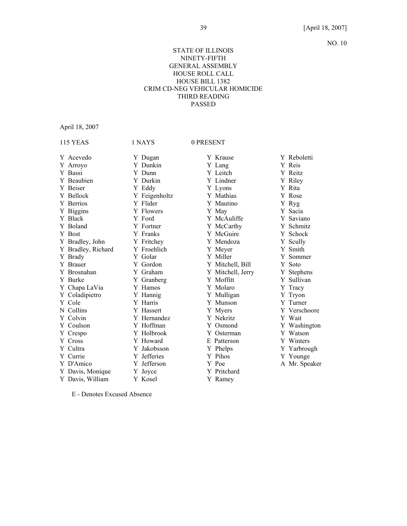# STATE OF ILLINOIS NINETY-FIFTH GENERAL ASSEMBLY HOUSE ROLL CALL HOUSE BILL 1382 CRIM CD-NEG VEHICULAR HOMICIDE THIRD READING PASSED

April 18, 2007

| <b>115 YEAS</b>    | 1 NAYS        | 0 PRESENT         |               |
|--------------------|---------------|-------------------|---------------|
| Y Acevedo          | Y Dugan       | Y Krause          | Y Reboletti   |
| Y Arroyo           | Y Dunkin      | Y Lang            | Y Reis        |
| Y Bassi            | Y Dunn        | Y Leitch          | Y Reitz       |
| Y Beaubien         | Y Durkin      | Y Lindner         | Y Riley       |
| Y Beiser           | Y Eddy        | Y Lyons           | Y Rita        |
| Y Bellock          | Y Feigenholtz | Y Mathias         | Y Rose        |
| Y Berrios          | Y Flider      | Y Mautino         | Y Ryg         |
| Y Biggins          | Y Flowers     | Y May             | Y Sacia       |
| Y Black            | Y Ford        | Y McAuliffe       | Y Saviano     |
| Y Boland           | Y Fortner     | Y McCarthy        | Y Schmitz     |
| Y Bost             | Y Franks      | Y McGuire         | Y Schock      |
| Y Bradley, John    | Y Fritchey    | Y Mendoza         | Y Scully      |
| Y Bradley, Richard | Y Froehlich   | Y Meyer           | Y Smith       |
| Y Brady            | Y Golar       | Y Miller          | Y Sommer      |
| Y Brauer           | Y Gordon      | Y Mitchell, Bill  | Y Soto        |
| Y Brosnahan        | Y Graham      | Y Mitchell, Jerry | Y Stephens    |
| Y Burke            | Y Granberg    | Y Moffitt         | Y Sullivan    |
| Y Chapa LaVia      | Y Hamos       | Y Molaro          | Y Tracy       |
| Y Coladipietro     | Y Hannig      | Y Mulligan        | Y Tryon       |
| Y Cole             | Y Harris      | Y Munson          | Y Turner      |
| N Collins          | Y Hassert     | Y Myers           | Y Verschoore  |
| Y Colvin           | Y Hernandez   | Y Nekritz         | Y Wait        |
| Y Coulson          | Y Hoffman     | Y Osmond          | Y Washington  |
| Y Crespo           | Y Holbrook    | Y Osterman        | Y Watson      |
| Y Cross            | Y Howard      | E Patterson       | Y Winters     |
| Y Cultra           | Y Jakobsson   | Y Phelps          | Y Yarbrough   |
| Y Currie           | Y Jefferies   | Y Pihos           | Y Younge      |
| Y D'Amico          | Y Jefferson   | Y Poe             | A Mr. Speaker |
| Y Davis, Monique   | Y Joyce       | Y Pritchard       |               |
| Y Davis, William   | Y Kosel       | Y Ramey           |               |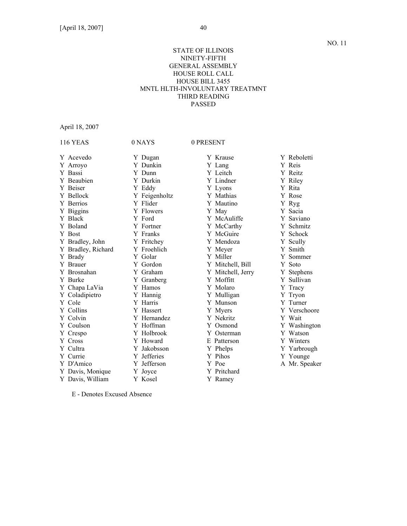# STATE OF ILLINOIS NINETY-FIFTH GENERAL ASSEMBLY HOUSE ROLL CALL HOUSE BILL 3455 MNTL HLTH-INVOLUNTARY TREATMNT THIRD READING PASSED

April 18, 2007

| <b>116 YEAS</b>    | 0 NAYS        | 0 PRESENT         |               |
|--------------------|---------------|-------------------|---------------|
| Y Acevedo          | Y Dugan       | Y Krause          | Y Reboletti   |
| Y Arroyo           | Y Dunkin      | Y Lang            | Y Reis        |
| Y Bassi            | Y Dunn        | Y Leitch          | Y Reitz       |
| Y Beaubien         | Y Durkin      | Y Lindner         | Y Riley       |
| Y Beiser           | Y Eddy        | Y Lyons           | Y Rita        |
| Y Bellock          | Y Feigenholtz | Y Mathias         | Y Rose        |
| Y Berrios          | Y Flider      | Y Mautino         | Y Ryg         |
| Y Biggins          | Y Flowers     | Y May             | Y Sacia       |
| Y Black            | Y Ford        | Y McAuliffe       | Y Saviano     |
| Y Boland           | Y Fortner     | Y McCarthy        | Y Schmitz     |
| Y Bost             | Y Franks      | Y McGuire         | Y Schock      |
| Y Bradley, John    | Y Fritchey    | Y Mendoza         | Y Scully      |
| Y Bradley, Richard | Y Froehlich   | Y Meyer           | Y Smith       |
| Y Brady            | Y Golar       | Y Miller          | Y Sommer      |
| Y Brauer           | Y Gordon      | Y Mitchell, Bill  | Y Soto        |
| Y Brosnahan        | Y Graham      | Y Mitchell, Jerry | Y Stephens    |
| Y Burke            | Y Granberg    | Y Moffitt         | Y Sullivan    |
| Y Chapa LaVia      | Y Hamos       | Y Molaro          | Y Tracy       |
| Y Coladipietro     | Y Hannig      | Y Mulligan        | Y Tryon       |
| Y Cole             | Y Harris      | Y Munson          | Y Turner      |
| Y Collins          | Y Hassert     | Y Myers           | Y Verschoore  |
| Y Colvin           | Y Hernandez   | Y Nekritz         | Y Wait        |
| Y Coulson          | Y Hoffman     | Y Osmond          | Y Washington  |
| Y Crespo           | Y Holbrook    | Y Osterman        | Y Watson      |
| Y Cross            | Y Howard      | E Patterson       | Y Winters     |
| Y Cultra           | Y Jakobsson   | Y Phelps          | Y Yarbrough   |
| Y Currie           | Y Jefferies   | Y Pihos           | Y Younge      |
| Y D'Amico          | Y Jefferson   | Y Poe             | A Mr. Speaker |
| Y Davis, Monique   | Y Joyce       | Y Pritchard       |               |
| Y Davis, William   | Y Kosel       | Y Ramey           |               |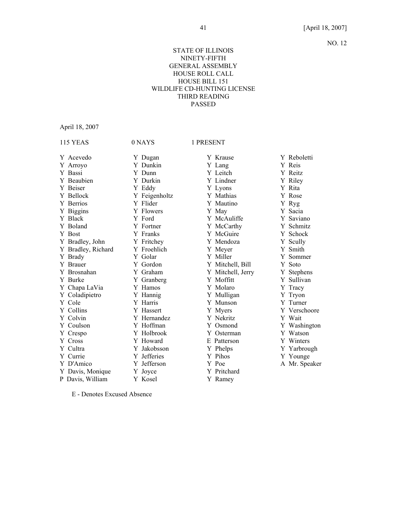# STATE OF ILLINOIS NINETY-FIFTH GENERAL ASSEMBLY HOUSE ROLL CALL HOUSE BILL 151 WILDLIFE CD-HUNTING LICENSE THIRD READING PASSED

April 18, 2007

| <b>115 YEAS</b>    | 0 NAYS        | 1 PRESENT         |               |
|--------------------|---------------|-------------------|---------------|
| Y Acevedo          | Y Dugan       | Y Krause          | Y Reboletti   |
| Y Arroyo           | Y Dunkin      | Y Lang            | Y Reis        |
| Y Bassi            | Y Dunn        | Y Leitch          | Y Reitz       |
| Y Beaubien         | Y Durkin      | Y Lindner         | Y Riley       |
| Y Beiser           | Y Eddy        | Y Lyons           | Y Rita        |
| Y Bellock          | Y Feigenholtz | Y Mathias         | Y Rose        |
| Y Berrios          | Y Flider      | Y Mautino         | Y Ryg         |
| Y Biggins          | Y Flowers     | Y May             | Y Sacia       |
| Y Black            | Y Ford        | Y McAuliffe       | Y Saviano     |
| Y Boland           | Y Fortner     | Y McCarthy        | Y Schmitz     |
| Y Bost             | Y Franks      | Y McGuire         | Y Schock      |
| Y Bradley, John    | Y Fritchey    | Y Mendoza         | Y Scully      |
| Y Bradley, Richard | Y Froehlich   | Y Meyer           | Y Smith       |
| Y Brady            | Y Golar       | Y Miller          | Y Sommer      |
| Y Brauer           | Y Gordon      | Y Mitchell, Bill  | Y Soto        |
| Y Brosnahan        | Y Graham      | Y Mitchell, Jerry | Y Stephens    |
| Y Burke            | Y Granberg    | Y Moffitt         | Y Sullivan    |
| Y Chapa LaVia      | Y Hamos       | Y Molaro          | Y Tracy       |
| Y Coladipietro     | Y Hannig      | Y Mulligan        | Y Tryon       |
| Y Cole             | Y Harris      | Y Munson          | Y Turner      |
| Y Collins          | Y Hassert     | Y Myers           | Y Verschoore  |
| Y Colvin           | Y Hernandez   | Y Nekritz         | Y Wait        |
| Y Coulson          | Y Hoffman     | Y Osmond          | Y Washington  |
| Y Crespo           | Y Holbrook    | Y Osterman        | Y Watson      |
| Y Cross            | Y Howard      | E Patterson       | Y Winters     |
| Y Cultra           | Y Jakobsson   | Y Phelps          | Y Yarbrough   |
| Y Currie           | Y Jefferies   | Y Pihos           | Y Younge      |
| Y D'Amico          | Y Jefferson   | Y Poe             | A Mr. Speaker |
| Y Davis, Monique   | Y Joyce       | Y Pritchard       |               |
| P Davis, William   | Y Kosel       | Y Ramey           |               |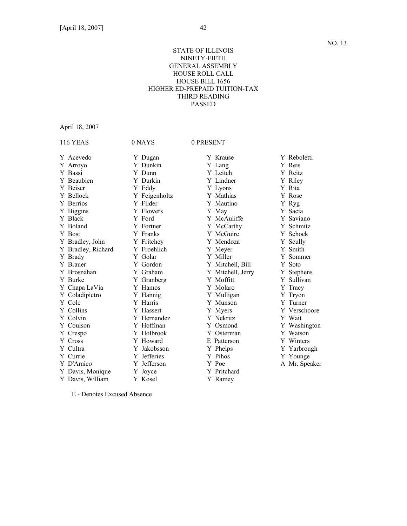# STATE OF ILLINOIS NINETY-FIFTH GENERAL ASSEMBLY HOUSE ROLL CALL HOUSE BILL 1656 HIGHER ED-PREPAID TUITION-TAX THIRD READING PASSED

April 18, 2007

| <b>116 YEAS</b>    | 0 NAYS        | 0 PRESENT         |               |
|--------------------|---------------|-------------------|---------------|
| Y Acevedo          | Y Dugan       | Y Krause          | Y Reboletti   |
| Y Arroyo           | Y Dunkin      | Y Lang            | Y Reis        |
| Y Bassi            | Y Dunn        | Y Leitch          | Y Reitz       |
| Y Beaubien         | Y Durkin      | Y Lindner         | Y Riley       |
| Y Beiser           | Y Eddy        | Y Lyons           | Y Rita        |
| Y Bellock          | Y Feigenholtz | Y Mathias         | Y Rose        |
| Y Berrios          | Y Flider      | Y Mautino         | Y Ryg         |
| Y Biggins          | Y Flowers     | Y May             | Y Sacia       |
| Y Black            | Y Ford        | Y McAuliffe       | Y Saviano     |
| Y Boland           | Y Fortner     | Y McCarthy        | Y Schmitz     |
| Y Bost             | Y Franks      | Y McGuire         | Y Schock      |
| Y Bradley, John    | Y Fritchey    | Y Mendoza         | Y Scully      |
| Y Bradley, Richard | Y Froehlich   | Y Meyer           | Y Smith       |
| Y Brady            | Y Golar       | Y Miller          | Y Sommer      |
| Y Brauer           | Y Gordon      | Y Mitchell, Bill  | Y Soto        |
| Y Brosnahan        | Y Graham      | Y Mitchell, Jerry | Y Stephens    |
| Y Burke            | Y Granberg    | Y Moffitt         | Y Sullivan    |
| Y Chapa LaVia      | Y Hamos       | Y Molaro          | Y Tracy       |
| Y Coladipietro     | Y Hannig      | Y Mulligan        | Y Tryon       |
| Y Cole             | Y Harris      | Y Munson          | Y Turner      |
| Y Collins          | Y Hassert     | Y Myers           | Y Verschoore  |
| Y Colvin           | Y Hernandez   | Y Nekritz         | Y Wait        |
| Y Coulson          | Y Hoffman     | Y Osmond          | Y Washington  |
| Y Crespo           | Y Holbrook    | Osterman<br>Y.    | Y Watson      |
| Y Cross            | Y Howard      | E Patterson       | Y Winters     |
| Y Cultra           | Y Jakobsson   | Y Phelps          | Y Yarbrough   |
| Y Currie           | Y Jefferies   | Y Pihos           | Y Younge      |
| Y D'Amico          | Y Jefferson   | Y Poe             | A Mr. Speaker |
| Y Davis, Monique   | Y Joyce       | Y Pritchard       |               |
| Y Davis, William   | Y Kosel       | Y Ramey           |               |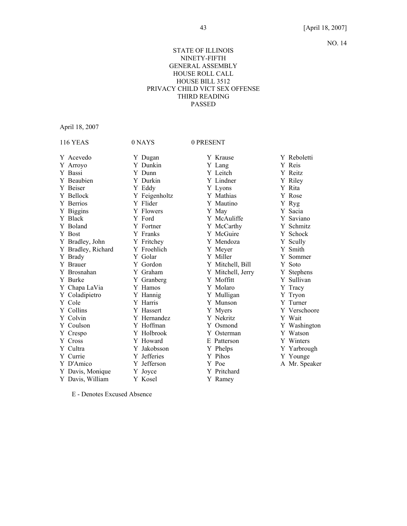# STATE OF ILLINOIS NINETY-FIFTH GENERAL ASSEMBLY HOUSE ROLL CALL HOUSE BILL 3512 PRIVACY CHILD VICT SEX OFFENSE THIRD READING PASSED

April 18, 2007

| <b>116 YEAS</b>    | 0 NAYS        | 0 PRESENT         |               |
|--------------------|---------------|-------------------|---------------|
| Y Acevedo          | Y Dugan       | Y Krause          | Y Reboletti   |
| Y Arroyo           | Y Dunkin      | Y Lang            | Y Reis        |
| Y Bassi            | Y Dunn        | Y Leitch          | Y Reitz       |
| Y Beaubien         | Y Durkin      | Y Lindner         | Y Riley       |
| Y Beiser           | Y Eddy        | Y Lyons           | Y Rita        |
| Y Bellock          | Y Feigenholtz | Y Mathias         | Y Rose        |
| Y Berrios          | Y Flider      | Y Mautino         | Y Ryg         |
| Y Biggins          | Y Flowers     | Y May             | Y Sacia       |
| Y Black            | Y Ford        | Y McAuliffe       | Y Saviano     |
| Y Boland           | Y Fortner     | Y McCarthy        | Y Schmitz     |
| Y Bost             | Y Franks      | Y McGuire         | Y Schock      |
| Y Bradley, John    | Y Fritchey    | Y Mendoza         | Y Scully      |
| Y Bradley, Richard | Y Froehlich   | Y Meyer           | Y Smith       |
| Y Brady            | Y Golar       | Y Miller          | Y Sommer      |
| Y Brauer           | Y Gordon      | Y Mitchell, Bill  | Y Soto        |
| Y Brosnahan        | Y Graham      | Y Mitchell, Jerry | Y Stephens    |
| Y Burke            | Y Granberg    | Y Moffitt         | Y Sullivan    |
| Y Chapa LaVia      | Y Hamos       | Y Molaro          | Y Tracy       |
| Y Coladipietro     | Y Hannig      | Y Mulligan        | Y Tryon       |
| Y Cole             | Y Harris      | Y Munson          | Y Turner      |
| Y Collins          | Y Hassert     | Y Myers           | Y Verschoore  |
| Y Colvin           | Y Hernandez   | Y Nekritz         | Y Wait        |
| Y Coulson          | Y Hoffman     | Y Osmond          | Y Washington  |
| Y Crespo           | Y Holbrook    | Y Osterman        | Y Watson      |
| Y Cross            | Y Howard      | E Patterson       | Y Winters     |
| Y Cultra           | Y Jakobsson   | Y Phelps          | Y Yarbrough   |
| Y Currie           | Y Jefferies   | Y Pihos           | Y Younge      |
| Y D'Amico          | Y Jefferson   | Y Poe             | A Mr. Speaker |
| Y Davis, Monique   | Y Joyce       | Y Pritchard       |               |
| Y Davis, William   | Y Kosel       | Y Ramey           |               |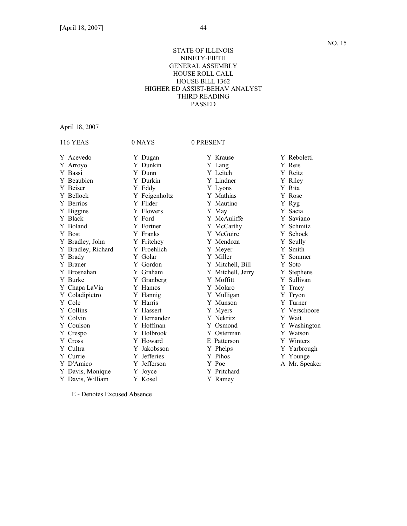# STATE OF ILLINOIS NINETY-FIFTH GENERAL ASSEMBLY HOUSE ROLL CALL HOUSE BILL 1362 HIGHER ED ASSIST-BEHAV ANALYST THIRD READING PASSED

April 18, 2007

| <b>116 YEAS</b>                                                                                                           | 0 NAYS                                                                                                                | 0 PRESENT                                                                                                    |                                                                                             |
|---------------------------------------------------------------------------------------------------------------------------|-----------------------------------------------------------------------------------------------------------------------|--------------------------------------------------------------------------------------------------------------|---------------------------------------------------------------------------------------------|
| Y Acevedo                                                                                                                 | Y Dugan                                                                                                               | Y Krause                                                                                                     | Y Reboletti                                                                                 |
| Y Arroyo                                                                                                                  | Y Dunkin                                                                                                              | Y Lang                                                                                                       | Y Reis                                                                                      |
| Y Bassi                                                                                                                   | Y Dunn                                                                                                                | Y Leitch                                                                                                     | Y Reitz                                                                                     |
| Y Beaubien                                                                                                                | Y Durkin                                                                                                              | Y Lindner                                                                                                    | Y Riley                                                                                     |
| Y Beiser                                                                                                                  | Y Eddy                                                                                                                | Y Lyons                                                                                                      | Y Rita                                                                                      |
| Y Bellock                                                                                                                 | Y Feigenholtz                                                                                                         | Y Mathias                                                                                                    | Y Rose                                                                                      |
| Y Berrios                                                                                                                 | Y Flider                                                                                                              | Y Mautino                                                                                                    | Y Ryg                                                                                       |
| Y Biggins                                                                                                                 | Y Flowers                                                                                                             | Y May                                                                                                        | Y Sacia                                                                                     |
| Y Black                                                                                                                   | Y Ford                                                                                                                | Y McAuliffe                                                                                                  | Y Saviano                                                                                   |
| Y Boland                                                                                                                  | Y Fortner                                                                                                             | Y McCarthy                                                                                                   | Y Schmitz                                                                                   |
| Y Bost                                                                                                                    | Y Franks                                                                                                              | Y McGuire                                                                                                    | Y Schock                                                                                    |
| Y Bradley, John                                                                                                           | Y Fritchey                                                                                                            | Y Mendoza                                                                                                    | Y Scully                                                                                    |
| Y Bradley, Richard                                                                                                        | Y Froehlich                                                                                                           | Y Meyer                                                                                                      | Y Smith                                                                                     |
| Y Brady                                                                                                                   | Y Golar                                                                                                               | Y Miller                                                                                                     | Y Sommer                                                                                    |
| Y Brauer                                                                                                                  | Y Gordon                                                                                                              | Y Mitchell, Bill                                                                                             | Y Soto                                                                                      |
| Y Brosnahan                                                                                                               | Y Graham                                                                                                              | Y Mitchell, Jerry                                                                                            | Y Stephens                                                                                  |
| Y Burke                                                                                                                   | Y Granberg                                                                                                            | Y Moffitt                                                                                                    | Y Sullivan                                                                                  |
| Y Chapa LaVia                                                                                                             | Y Hamos                                                                                                               | Y Molaro                                                                                                     | Y Tracy                                                                                     |
| Y Coladipietro                                                                                                            | Y Hannig                                                                                                              | Y Mulligan                                                                                                   | Y Tryon                                                                                     |
| Y Cole                                                                                                                    | Y Harris                                                                                                              | Y Munson                                                                                                     | Y Turner                                                                                    |
| Y Collins                                                                                                                 | Y Hassert                                                                                                             | Y Myers                                                                                                      | Y Verschoore                                                                                |
| Y Colvin<br>Y Coulson<br>Y Crespo<br>Y Cross<br>Y Cultra<br>Y Currie<br>Y D'Amico<br>Y Davis, Monique<br>Y Davis, William | Y Hernandez<br>Y Hoffman<br>Y Holbrook<br>Y Howard<br>Y Jakobsson<br>Y Jefferies<br>Y Jefferson<br>Y Joyce<br>Y Kosel | Y Nekritz<br>Y Osmond<br>Y Osterman<br>E Patterson<br>Y Phelps<br>Y Pihos<br>Y Poe<br>Y Pritchard<br>Y Ramey | Y Wait<br>Y Washington<br>Y Watson<br>Y Winters<br>Y Yarbrough<br>Y Younge<br>A Mr. Speaker |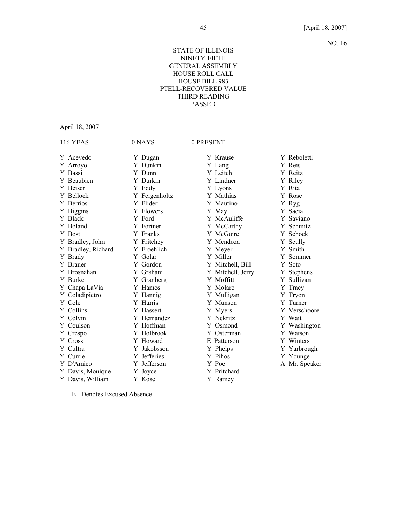# STATE OF ILLINOIS NINETY-FIFTH GENERAL ASSEMBLY HOUSE ROLL CALL HOUSE BILL 983 PTELL-RECOVERED VALUE THIRD READING PASSED

April 18, 2007

| <b>116 YEAS</b>    | 0 NAYS        | 0 PRESENT         |               |
|--------------------|---------------|-------------------|---------------|
| Y Acevedo          | Y Dugan       | Y Krause          | Y Reboletti   |
| Y Arroyo           | Y Dunkin      | Y Lang            | Y Reis        |
| Y Bassi            | Y Dunn        | Y Leitch          | Y Reitz       |
| Y Beaubien         | Y Durkin      | Y Lindner         | Y Riley       |
| Y Beiser           | Y Eddy        | Y Lyons           | Y Rita        |
| Y Bellock          | Y Feigenholtz | Y Mathias         | Y Rose        |
| Y Berrios          | Y Flider      | Y Mautino         | Y Ryg         |
| Y Biggins          | Y Flowers     | Y May             | Y Sacia       |
| Y Black            | Y Ford        | Y McAuliffe       | Y Saviano     |
| Y Boland           | Y Fortner     | Y McCarthy        | Y Schmitz     |
| Y Bost             | Y Franks      | Y McGuire         | Y Schock      |
| Y Bradley, John    | Y Fritchey    | Y Mendoza         | Y Scully      |
| Y Bradley, Richard | Y Froehlich   | Y Meyer           | Y Smith       |
| Y Brady            | Y Golar       | Y Miller          | Y Sommer      |
| Y Brauer           | Y Gordon      | Y Mitchell, Bill  | Y Soto        |
| Y Brosnahan        | Y Graham      | Y Mitchell, Jerry | Y Stephens    |
| Y Burke            | Y Granberg    | Y Moffitt         | Y Sullivan    |
| Y Chapa LaVia      | Y Hamos       | Y Molaro          | Y Tracy       |
| Y Coladipietro     | Y Hannig      | Y Mulligan        | Y Tryon       |
| Y Cole             | Y Harris      | Y Munson          | Y Turner      |
| Y Collins          | Y Hassert     | Y Myers           | Y Verschoore  |
| Y Colvin           | Y Hernandez   | Y Nekritz         | Y Wait        |
| Y Coulson          | Y Hoffman     | Y Osmond          | Y Washington  |
| Y Crespo           | Y Holbrook    | Y Osterman        | Y Watson      |
| Y Cross            | Y Howard      | E Patterson       | Y Winters     |
| Y Cultra           | Y Jakobsson   | Y Phelps          | Y Yarbrough   |
| Y Currie           | Y Jefferies   | Y Pihos           | Y Younge      |
| Y D'Amico          | Y Jefferson   | Y Poe             | A Mr. Speaker |
| Y Davis, Monique   | Y Joyce       | Y Pritchard       |               |
| Y Davis, William   | Y Kosel       | Y Ramey           |               |
|                    |               |                   |               |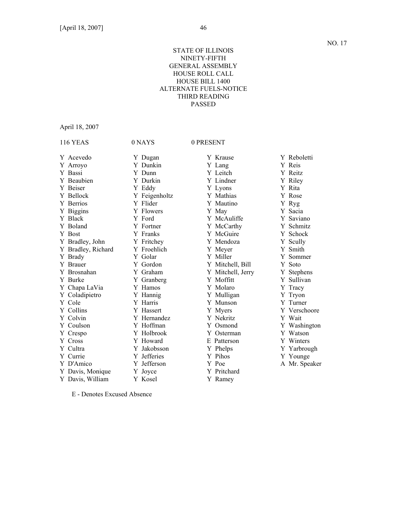# STATE OF ILLINOIS NINETY-FIFTH GENERAL ASSEMBLY HOUSE ROLL CALL HOUSE BILL 1400 ALTERNATE FUELS-NOTICE THIRD READING PASSED

April 18, 2007

| <b>116 YEAS</b>    | 0 NAYS        | 0 PRESENT         |               |
|--------------------|---------------|-------------------|---------------|
| Y Acevedo          | Y Dugan       | Y Krause          | Y Reboletti   |
| Y Arroyo           | Y Dunkin      | Y Lang            | Y Reis        |
| Y Bassi            | Y Dunn        | Y Leitch          | Y Reitz       |
| Y Beaubien         | Y Durkin      | Y Lindner         | Y Riley       |
| Y Beiser           | Y Eddy        | Y Lyons           | Y Rita        |
| Y Bellock          | Y Feigenholtz | Y Mathias         | Y Rose        |
| Y Berrios          | Y Flider      | Y Mautino         | Y Ryg         |
| Y Biggins          | Y Flowers     | Y May             | Y Sacia       |
| Y Black            | Y Ford        | Y McAuliffe       | Y Saviano     |
| Y Boland           | Y Fortner     | Y McCarthy        | Y Schmitz     |
| Y Bost             | Y Franks      | Y McGuire         | Y Schock      |
| Y Bradley, John    | Y Fritchey    | Y Mendoza         | Y Scully      |
| Y Bradley, Richard | Y Froehlich   | Y Meyer           | Y Smith       |
| Y Brady            | Y Golar       | Y Miller          | Y Sommer      |
| Y Brauer           | Y Gordon      | Y Mitchell, Bill  | Y Soto        |
| Y Brosnahan        | Y Graham      | Y Mitchell, Jerry | Y Stephens    |
| Y Burke            | Y Granberg    | Y Moffitt         | Y Sullivan    |
| Y Chapa LaVia      | Y Hamos       | Y Molaro          | Y Tracy       |
| Y Coladipietro     | Y Hannig      | Y Mulligan        | Y Tryon       |
| Y Cole             | Y Harris      | Y Munson          | Y Turner      |
| Y Collins          | Y Hassert     | Y Myers           | Y Verschoore  |
| Y Colvin           | Y Hernandez   | Y Nekritz         | Y Wait        |
| Y Coulson          | Y Hoffman     | Y Osmond          | Y Washington  |
| Y Crespo           | Y Holbrook    | Y Osterman        | Y Watson      |
| Y Cross            | Y Howard      | E Patterson       | Y Winters     |
| Y Cultra           | Y Jakobsson   | Y Phelps          | Y Yarbrough   |
| Y Currie           | Y Jefferies   | Y Pihos           | Y Younge      |
| Y D'Amico          | Y Jefferson   | Y Poe             | A Mr. Speaker |
| Y Davis, Monique   | Y Joyce       | Y Pritchard       |               |
| Y Davis, William   | Y Kosel       | Y Ramey           |               |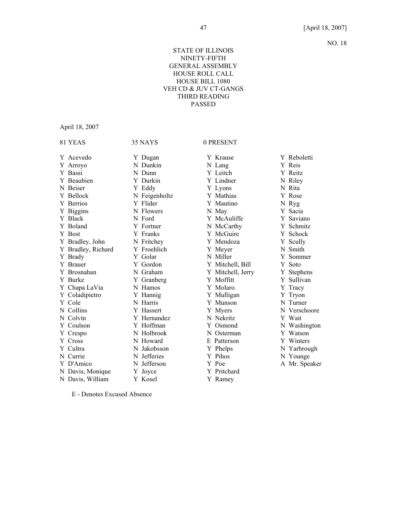# STATE OF ILLINOIS NINETY-FIFTH GENERAL ASSEMBLY HOUSE ROLL CALL HOUSE BILL 1080 VEH CD & JUV CT-GANGS THIRD READING PASSED

April 18, 2007

| 81 YEAS            | 35 NAYS       | 0 PRESENT         |               |
|--------------------|---------------|-------------------|---------------|
| Y Acevedo          | Y Dugan       | Y Krause          | Y Reboletti   |
| Y Arroyo           | N Dunkin      | N Lang            | Y Reis        |
| Y Bassi            | N Dunn        | Y Leitch          | Y Reitz       |
| Y Beaubien         | Y Durkin      | Y Lindner         | N Riley       |
| N Beiser           | Y Eddy        | Y Lyons           | N Rita        |
| Y Bellock          | N Feigenholtz | Y Mathias         | Y Rose        |
| Y Berrios          | Y Flider      | Y Mautino         | N Ryg         |
| Y Biggins          | N Flowers     | N May             | Y Sacia       |
| Y Black            | N Ford        | Y McAuliffe       | Y Saviano     |
| Y Boland           | Y Fortner     | N McCarthy        | Y Schmitz     |
| Y Bost             | Y Franks      | Y McGuire         | Y Schock      |
| Y Bradley, John    | N Fritchey    | Y Mendoza         | Y Scully      |
| Y Bradley, Richard | Y Froehlich   | Y Meyer           | N Smith       |
| Y Brady            | Y Golar       | N Miller          | Y Sommer      |
| Y Brauer           | Y Gordon      | Y Mitchell, Bill  | Y Soto        |
| Y Brosnahan        | N Graham      | Y Mitchell, Jerry | Y Stephens    |
| Y Burke            | Y Granberg    | Y Moffitt         | Y Sullivan    |
| Y Chapa LaVia      | N Hamos       | Y Molaro          | Y Tracy       |
| Y Coladipietro     | Y Hannig      | Y Mulligan        | Y Tryon       |
| Y Cole             | N Harris      | Y Munson          | N Turner      |
| N Collins          | Y Hassert     | Y Myers           | N Verschoore  |
| N Colvin           | Y Hernandez   | N Nekritz         | Y Wait        |
| Y Coulson          | Y Hoffman     | Y Osmond          | N Washington  |
| Y Crespo           | N Holbrook    | N Osterman        | Y Watson      |
| Y Cross            | N Howard      | E Patterson       | Y Winters     |
| Y Cultra           | N Jakobsson   | Y Phelps          | N Yarbrough   |
| N Currie           | N Jefferies   | Y Pihos           | N Younge      |
| Y D'Amico          | N Jefferson   | Y Poe             | A Mr. Speaker |
| N Davis, Monique   | Y Joyce       | Y Pritchard       |               |
| N Davis, William   | Y Kosel       | Y Ramey           |               |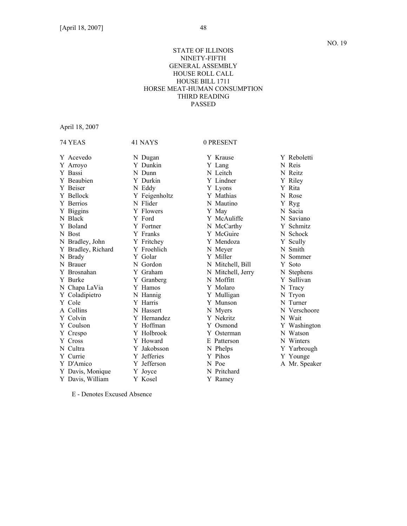# STATE OF ILLINOIS NINETY-FIFTH GENERAL ASSEMBLY HOUSE ROLL CALL HOUSE BILL 1711 HORSE MEAT-HUMAN CONSUMPTION THIRD READING PASSED

April 18, 2007

| 74 YEAS            | 41 NAYS       | 0 PRESENT         |               |
|--------------------|---------------|-------------------|---------------|
| Y Acevedo          | N Dugan       | Y Krause          | Y Reboletti   |
| Y Arroyo           | Y Dunkin      | Y Lang            | N Reis        |
| Y Bassi            | N Dunn        | N Leitch          | N Reitz       |
| Y Beaubien         | Y Durkin      | Y Lindner         | Y Riley       |
| Y Beiser           | N Eddy        | Y Lyons           | Y Rita        |
| Y Bellock          | Y Feigenholtz | Y Mathias         | N Rose        |
| Y Berrios          | N Flider      | N Mautino         | Y Ryg         |
| Y Biggins          | Y Flowers     | Y May             | N Sacia       |
| N Black            | Y Ford        | Y McAuliffe       | N Saviano     |
| Y Boland           | Y Fortner     | N McCarthy        | Y Schmitz     |
| N Bost             | Y Franks      | Y McGuire         | N Schock      |
| N Bradley, John    | Y Fritchey    | Y Mendoza         | Y Scully      |
| Y Bradley, Richard | Y Froehlich   | N Meyer           | N Smith       |
| N Brady            | Y Golar       | Y Miller          | N Sommer      |
| N Brauer           | N Gordon      | N Mitchell, Bill  | Y Soto        |
| Y Brosnahan        | Y Graham      | N Mitchell, Jerry | N Stephens    |
| Y Burke            | Y Granberg    | N Moffitt         | Y Sullivan    |
| N Chapa LaVia      | Y Hamos       | Y Molaro          | N Tracy       |
| Y Coladipietro     | N Hannig      | Y Mulligan        | N Tryon       |
| Y Cole             | Y Harris      | Y Munson          | N Turner      |
| A Collins          | N Hassert     | N Myers           | N Verschoore  |
| Y Colvin           | Y Hernandez   | Y Nekritz         | N Wait        |
| Y Coulson          | Y Hoffman     | Y Osmond          | Y Washington  |
| Y Crespo           | Y Holbrook    | Y Osterman        | N Watson      |
| Y Cross            | Y Howard      | E Patterson       | N Winters     |
| N Cultra           | Y Jakobsson   | N Phelps          | Y Yarbrough   |
| Y Currie           | Y Jefferies   | Y Pihos           | Y Younge      |
| Y D'Amico          | Y Jefferson   | N Poe             | A Mr. Speaker |
| Y Davis, Monique   | Y Joyce       | N Pritchard       |               |
| Y Davis, William   | Y Kosel       | Y Ramey           |               |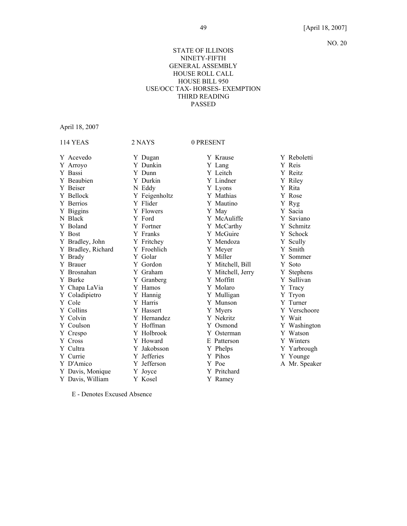# STATE OF ILLINOIS NINETY-FIFTH GENERAL ASSEMBLY HOUSE ROLL CALL HOUSE BILL 950 USE/OCC TAX- HORSES- EXEMPTION THIRD READING PASSED

April 18, 2007

| <b>114 YEAS</b>    | 2 NAYS        | 0 PRESENT         |               |
|--------------------|---------------|-------------------|---------------|
| Y Acevedo          | Y Dugan       | Y Krause          | Y Reboletti   |
| Y Arroyo           | Y Dunkin      | Y Lang            | Y Reis        |
| Y Bassi            | Y Dunn        | Y Leitch          | Y Reitz       |
| Y Beaubien         | Y Durkin      | Y Lindner         | Y Riley       |
| Y Beiser           | N Eddy        | Y Lyons           | Y Rita        |
| Y Bellock          | Y Feigenholtz | Y Mathias         | Y Rose        |
| Y Berrios          | Y Flider      | Y Mautino         | Y Ryg         |
| Y Biggins          | Y Flowers     | Y May             | Y Sacia       |
| N Black            | Y Ford        | Y McAuliffe       | Y Saviano     |
| Y Boland           | Y Fortner     | Y McCarthy        | Y Schmitz     |
| Y Bost             | Y Franks      | Y McGuire         | Y Schock      |
| Y Bradley, John    | Y Fritchey    | Y Mendoza         | Y Scully      |
| Y Bradley, Richard | Y Froehlich   | Y Meyer           | Y Smith       |
| Y Brady            | Y Golar       | Y Miller          | Y Sommer      |
| Y Brauer           | Y Gordon      | Y Mitchell, Bill  | Y Soto        |
| Y Brosnahan        | Y Graham      | Y Mitchell, Jerry | Y Stephens    |
| Y Burke            | Y Granberg    | Y Moffitt         | Y Sullivan    |
| Y Chapa LaVia      | Y Hamos       | Y Molaro          | Y Tracy       |
| Y Coladipietro     | Y Hannig      | Y Mulligan        | Y Tryon       |
| Y Cole             | Y Harris      | Y Munson          | Y Turner      |
| Y Collins          | Y Hassert     | Y Myers           | Y Verschoore  |
| Y Colvin           | Y Hernandez   | Y Nekritz         | Y Wait        |
| Y Coulson          | Y Hoffman     | Y Osmond          | Y Washington  |
| Y Crespo           | Y Holbrook    | Y Osterman        | Y Watson      |
| Y Cross            | Y Howard      | E Patterson       | Y Winters     |
| Y Cultra           | Y Jakobsson   | Y Phelps          | Y Yarbrough   |
| Y Currie           | Y Jefferies   | Y Pihos           | Y Younge      |
| Y D'Amico          | Y Jefferson   | Y Poe             | A Mr. Speaker |
| Y Davis, Monique   | Y Joyce       | Y Pritchard       |               |
| Y Davis, William   | Y Kosel       | Y Ramey           |               |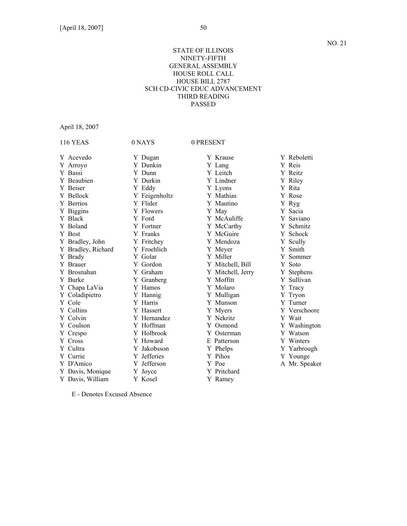# STATE OF ILLINOIS NINETY-FIFTH GENERAL ASSEMBLY HOUSE ROLL CALL HOUSE BILL 2787 SCH CD-CIVIC EDUC ADVANCEMENT THIRD READING PASSED

April 18, 2007

| <b>116 YEAS</b>    | 0 NAYS        | 0 PRESENT         |               |
|--------------------|---------------|-------------------|---------------|
| Y Acevedo          | Y Dugan       | Y Krause          | Y Reboletti   |
| Y Arroyo           | Y Dunkin      | Y Lang            | Y Reis        |
| Y Bassi            | Y Dunn        | Y Leitch          | Y Reitz       |
| Y Beaubien         | Y Durkin      | Y Lindner         | Y Riley       |
| Y Beiser           | Y Eddy        | Y Lyons           | Y Rita        |
| Y Bellock          | Y Feigenholtz | Y Mathias         | Y Rose        |
| Y Berrios          | Y Flider      | Y Mautino         | Y Ryg         |
| Y Biggins          | Y Flowers     | Y May             | Y Sacia       |
| Y Black            | Y Ford        | Y McAuliffe       | Y Saviano     |
| Y Boland           | Y Fortner     | Y McCarthy        | Y Schmitz     |
| Y Bost             | Y Franks      | Y McGuire         | Y Schock      |
| Y Bradley, John    | Y Fritchey    | Y Mendoza         | Y Scully      |
| Y Bradley, Richard | Y Froehlich   | Y Meyer           | Y Smith       |
| Y Brady            | Y Golar       | Y Miller          | Y Sommer      |
| Y Brauer           | Y Gordon      | Y Mitchell, Bill  | Y Soto        |
| Y Brosnahan        | Y Graham      | Y Mitchell, Jerry | Y Stephens    |
| Y Burke            | Y Granberg    | Y Moffitt         | Y Sullivan    |
| Y Chapa LaVia      | Y Hamos       | Y Molaro          | Y Tracy       |
| Y Coladipietro     | Y Hannig      | Y Mulligan        | Y Tryon       |
| Y Cole             | Y Harris      | Y Munson          | Y Turner      |
| Y Collins          | Y Hassert     | Y Myers           | Y Verschoore  |
| Y Colvin           | Y Hernandez   | Y Nekritz         | Y Wait        |
| Y Coulson          | Y Hoffman     | Y Osmond          | Y Washington  |
| Y Crespo           | Y Holbrook    | Y Osterman        | Y Watson      |
| Y Cross            | Y Howard      | E Patterson       | Y Winters     |
| Y Cultra           | Y Jakobsson   | Y Phelps          | Y Yarbrough   |
| Y Currie           | Y Jefferies   | Y Pihos           | Y Younge      |
| Y D'Amico          | Y Jefferson   | Y Poe             | A Mr. Speaker |
| Y Davis, Monique   | Y Joyce       | Y Pritchard       |               |
| Y Davis, William   | Y Kosel       | Y Ramey           |               |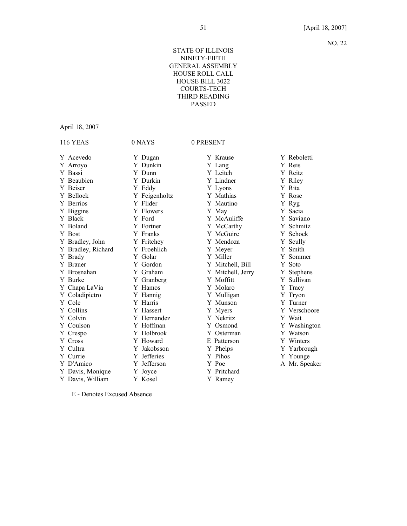# STATE OF ILLINOIS NINETY-FIFTH GENERAL ASSEMBLY HOUSE ROLL CALL HOUSE BILL 3022 COURTS-TECH THIRD READING PASSED

April 18, 2007

| <b>116 YEAS</b>    | 0 NAYS        | 0 PRESENT         |               |
|--------------------|---------------|-------------------|---------------|
| Y Acevedo          | Y Dugan       | Y Krause          | Y Reboletti   |
| Y Arroyo           | Y Dunkin      | Y Lang            | Y Reis        |
| Y Bassi            | Y Dunn        | Y Leitch          | Y Reitz       |
| Y Beaubien         | Y Durkin      | Y Lindner         | Y Riley       |
| Y Beiser           | Y Eddy        | Y Lyons           | Y Rita        |
| Y Bellock          | Y Feigenholtz | Y Mathias         | Y Rose        |
| Y Berrios          | Y Flider      | Y Mautino         | Y Ryg         |
| Y Biggins          | Y Flowers     | Y May             | Y Sacia       |
| Y Black            | Y Ford        | Y McAuliffe       | Y Saviano     |
| Y Boland           | Y Fortner     | Y McCarthy        | Y Schmitz     |
| Y Bost             | Y Franks      | Y McGuire         | Y Schock      |
| Y Bradley, John    | Y Fritchey    | Y Mendoza         | Y Scully      |
| Y Bradley, Richard | Y Froehlich   | Y Meyer           | Y Smith       |
| Y Brady            | Y Golar       | Y Miller          | Y Sommer      |
| Y Brauer           | Y Gordon      | Y Mitchell, Bill  | Y Soto        |
| Y Brosnahan        | Y Graham      | Y Mitchell, Jerry | Y Stephens    |
| Y Burke            | Y Granberg    | Y Moffitt         | Y Sullivan    |
| Y Chapa LaVia      | Y Hamos       | Y Molaro          | Y Tracy       |
| Y Coladipietro     | Y Hannig      | Y Mulligan        | Y Tryon       |
| Y Cole             | Y Harris      | Y Munson          | Y Turner      |
| Y Collins          | Y Hassert     | Y Myers           | Y Verschoore  |
| Y Colvin           | Y Hernandez   | Y Nekritz         | Y Wait        |
| Y Coulson          | Y Hoffman     | Y Osmond          | Y Washington  |
| Y Crespo           | Y Holbrook    | Y Osterman        | Y Watson      |
| Y Cross            | Y Howard      | E Patterson       | Y Winters     |
| Y Cultra           | Y Jakobsson   | Y Phelps          | Y Yarbrough   |
| Y Currie           | Y Jefferies   | Y Pihos           | Y Younge      |
| Y D'Amico          | Y Jefferson   | Y Poe             | A Mr. Speaker |
| Y Davis, Monique   | Y Joyce       | Y Pritchard       |               |
| Y Davis, William   | Y Kosel       | Y Ramey           |               |
|                    |               |                   |               |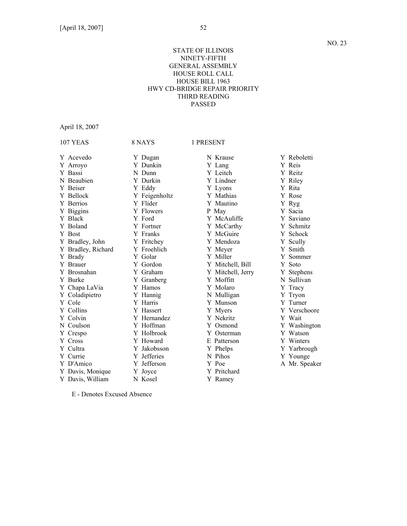# STATE OF ILLINOIS NINETY-FIFTH GENERAL ASSEMBLY HOUSE ROLL CALL HOUSE BILL 1963 HWY CD-BRIDGE REPAIR PRIORITY THIRD READING PASSED

April 18, 2007

| 107 YEAS                                                                                                                          | 8 NAYS                                                                                                                       | 1 PRESENT                                                                                                                                      |                                                                                                                            |
|-----------------------------------------------------------------------------------------------------------------------------------|------------------------------------------------------------------------------------------------------------------------------|------------------------------------------------------------------------------------------------------------------------------------------------|----------------------------------------------------------------------------------------------------------------------------|
| Y Acevedo<br>Y Arroyo<br>Y Bassi<br>N Beaubien<br>Y Beiser<br>Y Bellock<br>Y Berrios<br>Y Biggins                                 | Y Dugan<br>Y Dunkin<br>N Dunn<br>Y Durkin<br>Y Eddy<br>Y Feigenholtz<br>Y Flider<br>Y Flowers                                | N Krause<br>Y Lang<br>Y Leitch<br>Y Lindner<br>Y Lyons<br>Y Mathias<br>Y Mautino<br>P May                                                      | Y Reboletti<br>Y Reis<br>Y Reitz<br>Y Riley<br>Y Rita<br>Y Rose<br>Y Ryg<br>Y Sacia                                        |
| Y Black<br>Y Boland<br>Y Bost<br>Y Bradley, John<br>Y Bradley, Richard<br>Y Brady                                                 | Y Ford<br>Y Fortner<br>Y Franks<br>Y Fritchey<br>Y Froehlich<br>Y Golar                                                      | Y McAuliffe<br>Y McCarthy<br>Y McGuire<br>Y Mendoza<br>Y Meyer<br>Y Miller                                                                     | Y Saviano<br>Y Schmitz<br>Y Schock<br>Y Scully<br>Y Smith<br>Y Sommer                                                      |
| Y Brauer<br>Y Brosnahan<br>Y Burke<br>Y Chapa LaVia<br>Y Coladipietro<br>Y Cole<br>Y Collins<br>Y Colvin<br>N Coulson<br>Y Crespo | Y Gordon<br>Y Graham<br>Y Granberg<br>Y Hamos<br>Y Hannig<br>Y Harris<br>Y Hassert<br>Y Hernandez<br>Y Hoffman<br>Y Holbrook | Y Mitchell, Bill<br>Y Mitchell, Jerry<br>Y Moffitt<br>Y Molaro<br>N Mulligan<br>Y Munson<br>Y Myers<br>Y Nekritz<br>Y Osmond<br>Osterman<br>Y. | Y Soto<br>Y Stephens<br>N Sullivan<br>Y Tracy<br>Y Tryon<br>Y Turner<br>Y Verschoore<br>Y Wait<br>Y Washington<br>Y Watson |
| Y Cross<br>Y Cultra<br>Y Currie<br>Y D'Amico<br>Y Davis, Monique<br>Y Davis, William                                              | Y Howard<br>Y Jakobsson<br>Y Jefferies<br>Y Jefferson<br>Y Joyce<br>N Kosel                                                  | E Patterson<br>Y Phelps<br>N Pihos<br>Y Poe<br>Y Pritchard<br>Y Ramey                                                                          | Y Winters<br>Y Yarbrough<br>Y Younge<br>A Mr. Speaker                                                                      |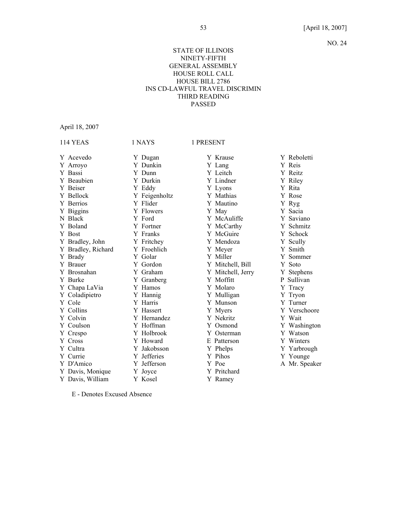# STATE OF ILLINOIS NINETY-FIFTH GENERAL ASSEMBLY HOUSE ROLL CALL HOUSE BILL 2786 INS CD-LAWFUL TRAVEL DISCRIMIN THIRD READING PASSED

April 18, 2007

| <b>114 YEAS</b>    | 1 NAYS        | 1 PRESENT         |               |
|--------------------|---------------|-------------------|---------------|
| Y Acevedo          | Y Dugan       | Y Krause          | Y Reboletti   |
| Y Arroyo           | Y Dunkin      | Y Lang            | Y Reis        |
| Y Bassi            | Y Dunn        | Y Leitch          | Y Reitz       |
| Y Beaubien         | Y Durkin      | Y Lindner         | Y Riley       |
| Y Beiser           | Y Eddy        | Y Lyons           | Y Rita        |
| Y Bellock          | Y Feigenholtz | Y Mathias         | Y Rose        |
| Y Berrios          | Y Flider      | Y Mautino         | Y Ryg         |
| Y Biggins          | Y Flowers     | Y May             | Y Sacia       |
| N Black            | Y Ford        | Y McAuliffe       | Y Saviano     |
| Y Boland           | Y Fortner     | Y McCarthy        | Y Schmitz     |
| Y Bost             | Y Franks      | Y McGuire         | Y Schock      |
| Y Bradley, John    | Y Fritchey    | Y Mendoza         | Y Scully      |
| Y Bradley, Richard | Y Froehlich   | Y Meyer           | Y Smith       |
| Y Brady            | Y Golar       | Y Miller          | Y Sommer      |
| Y Brauer           | Y Gordon      | Y Mitchell, Bill  | Y Soto        |
| Y Brosnahan        | Y Graham      | Y Mitchell, Jerry | Y Stephens    |
| Y Burke            | Y Granberg    | Y Moffitt         | P Sullivan    |
| Y Chapa LaVia      | Y Hamos       | Y Molaro          | Y Tracy       |
| Y Coladipietro     | Y Hannig      | Y Mulligan        | Y Tryon       |
| Y Cole             | Y Harris      | Y Munson          | Y Turner      |
| Y Collins          | Y Hassert     | Y Myers           | Y Verschoore  |
| Y Colvin           | Y Hernandez   | Y Nekritz         | Y Wait        |
| Y Coulson          | Y Hoffman     | Y Osmond          | Y Washington  |
| Y Crespo           | Y Holbrook    | Y Osterman        | Y Watson      |
| Y Cross            | Y Howard      | E Patterson       | Y Winters     |
| Y Cultra           | Y Jakobsson   | Y Phelps          | Y Yarbrough   |
| Y Currie           | Y Jefferies   | Y Pihos           | Y Younge      |
| Y D'Amico          | Y Jefferson   | Y Poe             | A Mr. Speaker |
| Y Davis, Monique   | Y Joyce       | Y Pritchard       |               |
| Y Davis, William   | Y Kosel       | Y Ramey           |               |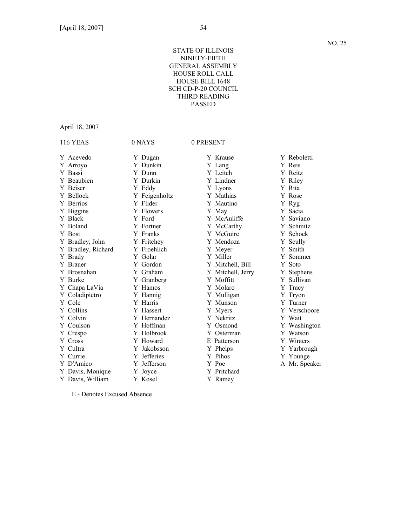# STATE OF ILLINOIS NINETY-FIFTH GENERAL ASSEMBLY HOUSE ROLL CALL HOUSE BILL 1648 SCH CD-P-20 COUNCIL THIRD READING PASSED

April 18, 2007

| <b>116 YEAS</b>    | 0 NAYS        | 0 PRESENT         |               |
|--------------------|---------------|-------------------|---------------|
| Y Acevedo          | Y Dugan       | Y Krause          | Y Reboletti   |
| Y Arroyo           | Y Dunkin      | Y Lang            | Y Reis        |
| Y Bassi            | Y Dunn        | Y Leitch          | Y Reitz       |
| Y Beaubien         | Y Durkin      | Y Lindner         | Y Riley       |
| Y Beiser           | Y Eddy        | Y Lyons           | Y Rita        |
| Y Bellock          | Y Feigenholtz | Y Mathias         | Y Rose        |
| Y Berrios          | Y Flider      | Y Mautino         | Y Ryg         |
| Y Biggins          | Y Flowers     | Y May             | Y Sacia       |
| Y Black            | Y Ford        | Y McAuliffe       | Y Saviano     |
| Y Boland           | Y Fortner     | Y McCarthy        | Y Schmitz     |
| Y Bost             | Y Franks      | Y McGuire         | Y Schock      |
| Y Bradley, John    | Y Fritchey    | Y Mendoza         | Y Scully      |
| Y Bradley, Richard | Y Froehlich   | Y Meyer           | Y Smith       |
| Y Brady            | Y Golar       | Y Miller          | Y Sommer      |
| Y Brauer           | Y Gordon      | Y Mitchell, Bill  | Y Soto        |
| Y Brosnahan        | Y Graham      | Y Mitchell, Jerry | Y Stephens    |
| Y Burke            | Y Granberg    | Y Moffitt         | Y Sullivan    |
| Y Chapa LaVia      | Y Hamos       | Y Molaro          | Y Tracy       |
| Y Coladipietro     | Y Hannig      | Y Mulligan        | Y Tryon       |
| Y Cole             | Y Harris      | Y Munson          | Y Turner      |
| Y Collins          | Y Hassert     | Y Myers           | Y Verschoore  |
| Y Colvin           | Y Hernandez   | Y Nekritz         | Y Wait        |
| Y Coulson          | Y Hoffman     | Y Osmond          | Y Washington  |
| Y Crespo           | Y Holbrook    | Y Osterman        | Y Watson      |
| Y Cross            | Y Howard      | E Patterson       | Y Winters     |
| Y Cultra           | Y Jakobsson   | Y Phelps          | Y Yarbrough   |
| Y Currie           | Y Jefferies   | Y Pihos           | Y Younge      |
| Y D'Amico          | Y Jefferson   | Y Poe             | A Mr. Speaker |
| Y Davis, Monique   | Y Joyce       | Y Pritchard       |               |
| Y Davis, William   | Y Kosel       | Y Ramey           |               |
|                    |               |                   |               |